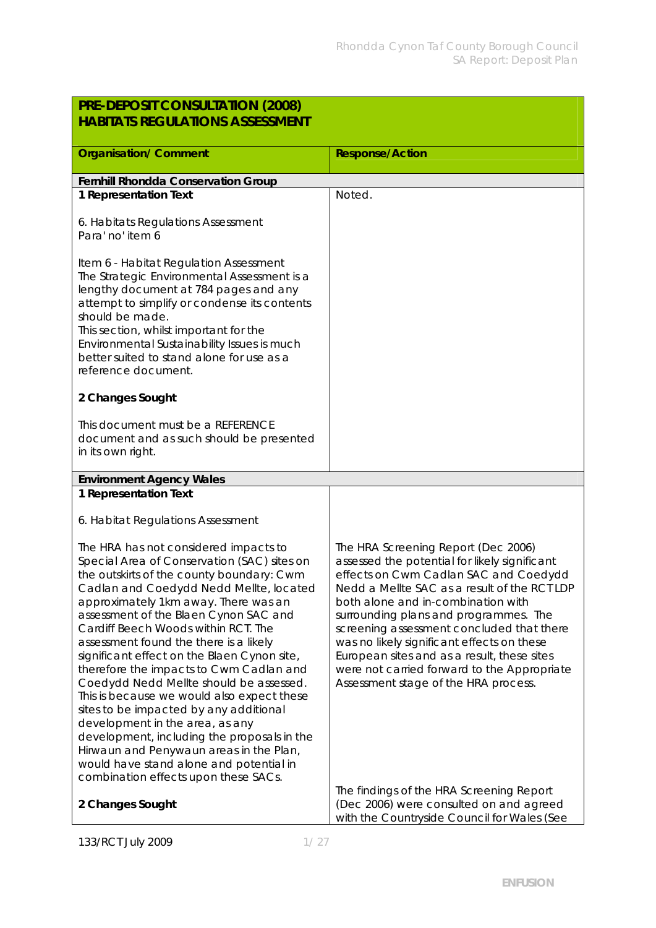| PRE-DEPOSIT CONSULTATION (2008)                                                                                                                                                                                                                                                                                                                                                                                                                                                                                                                                                                                                                                                                                                                                                             |                                                                                                                                                                                                                                                                                                                                                                                                                                                                                                                                           |
|---------------------------------------------------------------------------------------------------------------------------------------------------------------------------------------------------------------------------------------------------------------------------------------------------------------------------------------------------------------------------------------------------------------------------------------------------------------------------------------------------------------------------------------------------------------------------------------------------------------------------------------------------------------------------------------------------------------------------------------------------------------------------------------------|-------------------------------------------------------------------------------------------------------------------------------------------------------------------------------------------------------------------------------------------------------------------------------------------------------------------------------------------------------------------------------------------------------------------------------------------------------------------------------------------------------------------------------------------|
| <b>HABITATS REGULATIONS ASSESSMENT</b>                                                                                                                                                                                                                                                                                                                                                                                                                                                                                                                                                                                                                                                                                                                                                      |                                                                                                                                                                                                                                                                                                                                                                                                                                                                                                                                           |
|                                                                                                                                                                                                                                                                                                                                                                                                                                                                                                                                                                                                                                                                                                                                                                                             |                                                                                                                                                                                                                                                                                                                                                                                                                                                                                                                                           |
| <b>Organisation/ Comment</b>                                                                                                                                                                                                                                                                                                                                                                                                                                                                                                                                                                                                                                                                                                                                                                | <b>Response/Action</b>                                                                                                                                                                                                                                                                                                                                                                                                                                                                                                                    |
| Fernhill Rhondda Conservation Group                                                                                                                                                                                                                                                                                                                                                                                                                                                                                                                                                                                                                                                                                                                                                         |                                                                                                                                                                                                                                                                                                                                                                                                                                                                                                                                           |
| 1 Representation Text                                                                                                                                                                                                                                                                                                                                                                                                                                                                                                                                                                                                                                                                                                                                                                       | Noted.                                                                                                                                                                                                                                                                                                                                                                                                                                                                                                                                    |
| 6. Habitats Regulations Assessment<br>Para' no' item 6                                                                                                                                                                                                                                                                                                                                                                                                                                                                                                                                                                                                                                                                                                                                      |                                                                                                                                                                                                                                                                                                                                                                                                                                                                                                                                           |
| Item 6 - Habitat Regulation Assessment<br>The Strategic Environmental Assessment is a<br>lengthy document at 784 pages and any<br>attempt to simplify or condense its contents<br>should be made.<br>This section, whilst important for the<br>Environmental Sustainability Issues is much<br>better suited to stand alone for use as a<br>reference document.                                                                                                                                                                                                                                                                                                                                                                                                                              |                                                                                                                                                                                                                                                                                                                                                                                                                                                                                                                                           |
| 2 Changes Sought                                                                                                                                                                                                                                                                                                                                                                                                                                                                                                                                                                                                                                                                                                                                                                            |                                                                                                                                                                                                                                                                                                                                                                                                                                                                                                                                           |
| This document must be a REFERENCE<br>document and as such should be presented<br>in its own right.                                                                                                                                                                                                                                                                                                                                                                                                                                                                                                                                                                                                                                                                                          |                                                                                                                                                                                                                                                                                                                                                                                                                                                                                                                                           |
| <b>Environment Agency Wales</b>                                                                                                                                                                                                                                                                                                                                                                                                                                                                                                                                                                                                                                                                                                                                                             |                                                                                                                                                                                                                                                                                                                                                                                                                                                                                                                                           |
| 1 Representation Text                                                                                                                                                                                                                                                                                                                                                                                                                                                                                                                                                                                                                                                                                                                                                                       |                                                                                                                                                                                                                                                                                                                                                                                                                                                                                                                                           |
| 6. Habitat Regulations Assessment                                                                                                                                                                                                                                                                                                                                                                                                                                                                                                                                                                                                                                                                                                                                                           |                                                                                                                                                                                                                                                                                                                                                                                                                                                                                                                                           |
| The HRA has not considered impacts to<br>Special Area of Conservation (SAC) sites on<br>the outskirts of the county boundary: Cwm<br>Cadlan and Coedydd Nedd Mellte, located<br>approximately 1km away. There was an<br>assessment of the Blaen Cynon SAC and<br>Cardiff Beech Woods within RCT. The<br>assessment found the there is a likely<br>significant effect on the Blaen Cynon site,<br>therefore the impacts to Cwm Cadlan and<br>Coedydd Nedd Mellte should be assessed.<br>This is because we would also expect these<br>sites to be impacted by any additional<br>development in the area, as any<br>development, including the proposals in the<br>Hirwaun and Penywaun areas in the Plan,<br>would have stand alone and potential in<br>combination effects upon these SACs. | The HRA Screening Report (Dec 2006)<br>assessed the potential for likely significant<br>effects on Cwm Cadlan SAC and Coedydd<br>Nedd a Mellte SAC as a result of the RCT LDP<br>both alone and in-combination with<br>surrounding plans and programmes. The<br>screening assessment concluded that there<br>was no likely significant effects on these<br>European sites and as a result, these sites<br>were not carried forward to the Appropriate<br>Assessment stage of the HRA process.<br>The findings of the HRA Screening Report |
| 2 Changes Sought                                                                                                                                                                                                                                                                                                                                                                                                                                                                                                                                                                                                                                                                                                                                                                            | (Dec 2006) were consulted on and agreed<br>with the Countryside Council for Wales (See                                                                                                                                                                                                                                                                                                                                                                                                                                                    |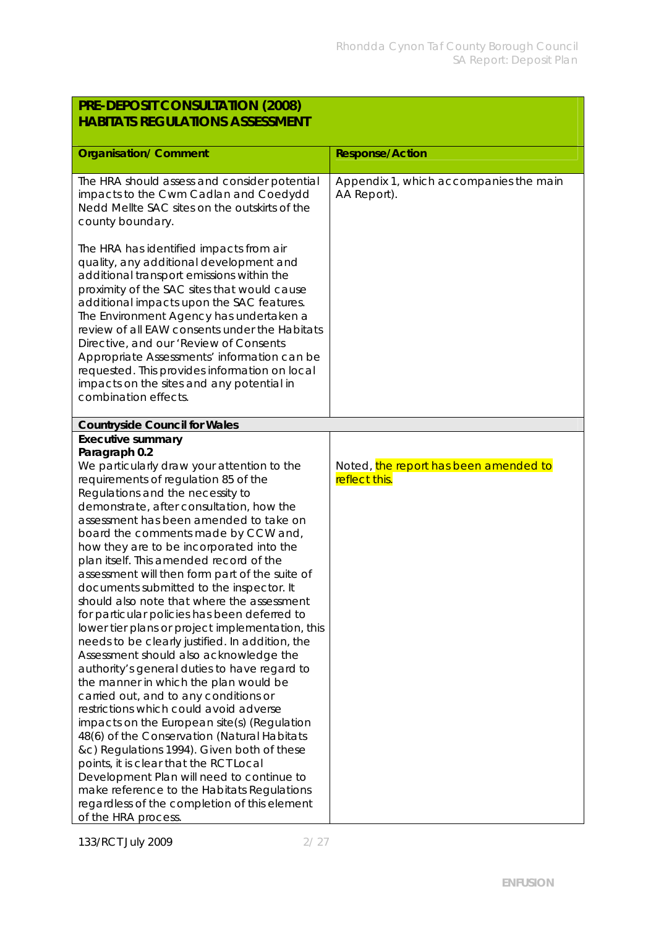| PRE-DEPOSIT CONSULTATION (2008)<br><b>HABITATS REGULATIONS ASSESSMENT</b>                                                                                                                                                                                                                                                                                                                                                                                                                                                                                                                                                                                                                                                                                                                                                                                                                                                                                                                                                                                                                                                                                                                                                                                         |                                                        |
|-------------------------------------------------------------------------------------------------------------------------------------------------------------------------------------------------------------------------------------------------------------------------------------------------------------------------------------------------------------------------------------------------------------------------------------------------------------------------------------------------------------------------------------------------------------------------------------------------------------------------------------------------------------------------------------------------------------------------------------------------------------------------------------------------------------------------------------------------------------------------------------------------------------------------------------------------------------------------------------------------------------------------------------------------------------------------------------------------------------------------------------------------------------------------------------------------------------------------------------------------------------------|--------------------------------------------------------|
| <b>Organisation/ Comment</b>                                                                                                                                                                                                                                                                                                                                                                                                                                                                                                                                                                                                                                                                                                                                                                                                                                                                                                                                                                                                                                                                                                                                                                                                                                      | <b>Response/Action</b>                                 |
| The HRA should assess and consider potential<br>impacts to the Cwm Cadlan and Coedydd<br>Nedd Mellte SAC sites on the outskirts of the<br>county boundary.                                                                                                                                                                                                                                                                                                                                                                                                                                                                                                                                                                                                                                                                                                                                                                                                                                                                                                                                                                                                                                                                                                        | Appendix 1, which accompanies the main<br>AA Report).  |
| The HRA has identified impacts from air<br>quality, any additional development and<br>additional transport emissions within the<br>proximity of the SAC sites that would cause<br>additional impacts upon the SAC features.<br>The Environment Agency has undertaken a<br>review of all EAW consents under the Habitats<br>Directive, and our 'Review of Consents<br>Appropriate Assessments' information can be<br>requested. This provides information on local<br>impacts on the sites and any potential in<br>combination effects.                                                                                                                                                                                                                                                                                                                                                                                                                                                                                                                                                                                                                                                                                                                            |                                                        |
| <b>Countryside Council for Wales</b>                                                                                                                                                                                                                                                                                                                                                                                                                                                                                                                                                                                                                                                                                                                                                                                                                                                                                                                                                                                                                                                                                                                                                                                                                              |                                                        |
| Executive summary<br>Paragraph 0.2<br>We particularly draw your attention to the<br>requirements of regulation 85 of the<br>Regulations and the necessity to<br>demonstrate, after consultation, how the<br>assessment has been amended to take on<br>board the comments made by CCW and,<br>how they are to be incorporated into the<br>plan itself. This amended record of the<br>assessment will then form part of the suite of<br>documents submitted to the inspector. It<br>should also note that where the assessment<br>for particular policies has been deferred to<br>lower tier plans or project implementation, this<br>needs to be clearly justified. In addition, the<br>Assessment should also acknowledge the<br>authority's general duties to have regard to<br>the manner in which the plan would be<br>carried out, and to any conditions or<br>restrictions which could avoid adverse<br>impacts on the European site(s) (Regulation<br>48(6) of the Conservation (Natural Habitats<br>&c) Regulations 1994). Given both of these<br>points, it is clear that the RCT Local<br>Development Plan will need to continue to<br>make reference to the Habitats Regulations<br>regardless of the completion of this element<br>of the HRA process. | Noted, the report has been amended to<br>reflect this. |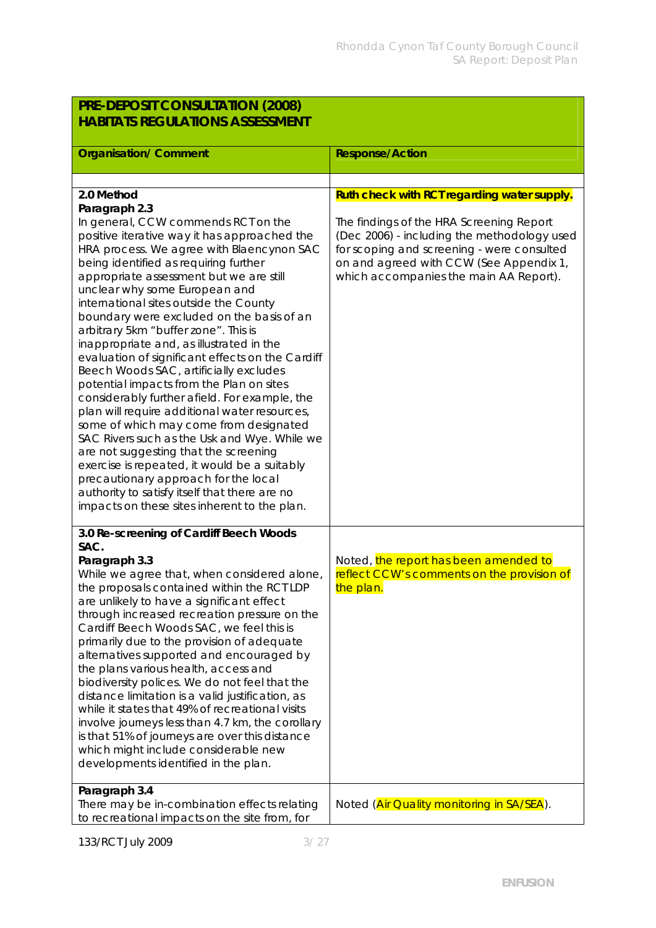| PRE-DEPOSIT CONSULTATION (2008)                                                                                                                                                                                                                                                                                                                                                                                                                                                                                                                                                                                                                                                                                                                                                                                                                                                                                                                                                                                           |                                                                                                                                                                                                                                                                           |  |
|---------------------------------------------------------------------------------------------------------------------------------------------------------------------------------------------------------------------------------------------------------------------------------------------------------------------------------------------------------------------------------------------------------------------------------------------------------------------------------------------------------------------------------------------------------------------------------------------------------------------------------------------------------------------------------------------------------------------------------------------------------------------------------------------------------------------------------------------------------------------------------------------------------------------------------------------------------------------------------------------------------------------------|---------------------------------------------------------------------------------------------------------------------------------------------------------------------------------------------------------------------------------------------------------------------------|--|
| <b>HABITATS REGULATIONS ASSESSMENT</b>                                                                                                                                                                                                                                                                                                                                                                                                                                                                                                                                                                                                                                                                                                                                                                                                                                                                                                                                                                                    |                                                                                                                                                                                                                                                                           |  |
| <b>Organisation/ Comment</b>                                                                                                                                                                                                                                                                                                                                                                                                                                                                                                                                                                                                                                                                                                                                                                                                                                                                                                                                                                                              | <b>Response/Action</b>                                                                                                                                                                                                                                                    |  |
|                                                                                                                                                                                                                                                                                                                                                                                                                                                                                                                                                                                                                                                                                                                                                                                                                                                                                                                                                                                                                           |                                                                                                                                                                                                                                                                           |  |
| 2.0 Method                                                                                                                                                                                                                                                                                                                                                                                                                                                                                                                                                                                                                                                                                                                                                                                                                                                                                                                                                                                                                |                                                                                                                                                                                                                                                                           |  |
| Paragraph 2.3<br>In general, CCW commends RCT on the<br>positive iterative way it has approached the<br>HRA process. We agree with Blaencynon SAC<br>being identified as requiring further<br>appropriate assessment but we are still<br>unclear why some European and<br>international sites outside the County<br>boundary were excluded on the basis of an<br>arbitrary 5km "buffer zone". This is<br>inappropriate and, as illustrated in the<br>evaluation of significant effects on the Cardiff<br>Beech Woods SAC, artificially excludes<br>potential impacts from the Plan on sites<br>considerably further afield. For example, the<br>plan will require additional water resources,<br>some of which may come from designated<br>SAC Rivers such as the Usk and Wye. While we<br>are not suggesting that the screening<br>exercise is repeated, it would be a suitably<br>precautionary approach for the local<br>authority to satisfy itself that there are no<br>impacts on these sites inherent to the plan. | Ruth check with RCT regarding water supply.<br>The findings of the HRA Screening Report<br>(Dec 2006) - including the methodology used<br>for scoping and screening - were consulted<br>on and agreed with CCW (See Appendix 1,<br>which accompanies the main AA Report). |  |
| 3.0 Re-screening of Cardiff Beech Woods<br>SAC.<br>Paragraph 3.3<br>While we agree that, when considered alone,<br>the proposals contained within the RCT LDP<br>are unlikely to have a significant effect<br>through increased recreation pressure on the<br>Cardiff Beech Woods SAC, we feel this is<br>primarily due to the provision of adequate<br>alternatives supported and encouraged by<br>the plans various health, access and<br>biodiversity polices. We do not feel that the<br>distance limitation is a valid justification, as<br>while it states that 49% of recreational visits<br>involve journeys less than 4.7 km, the corollary<br>is that 51% of journeys are over this distance<br>which might include considerable new<br>developments identified in the plan.                                                                                                                                                                                                                                    | Noted, the report has been amended to<br>reflect CCW's comments on the provision of<br>the plan.                                                                                                                                                                          |  |
| Paragraph 3.4<br>There may be in-combination effects relating<br>to recreational impacts on the site from, for                                                                                                                                                                                                                                                                                                                                                                                                                                                                                                                                                                                                                                                                                                                                                                                                                                                                                                            | Noted (Air Quality monitoring in SA/SEA).                                                                                                                                                                                                                                 |  |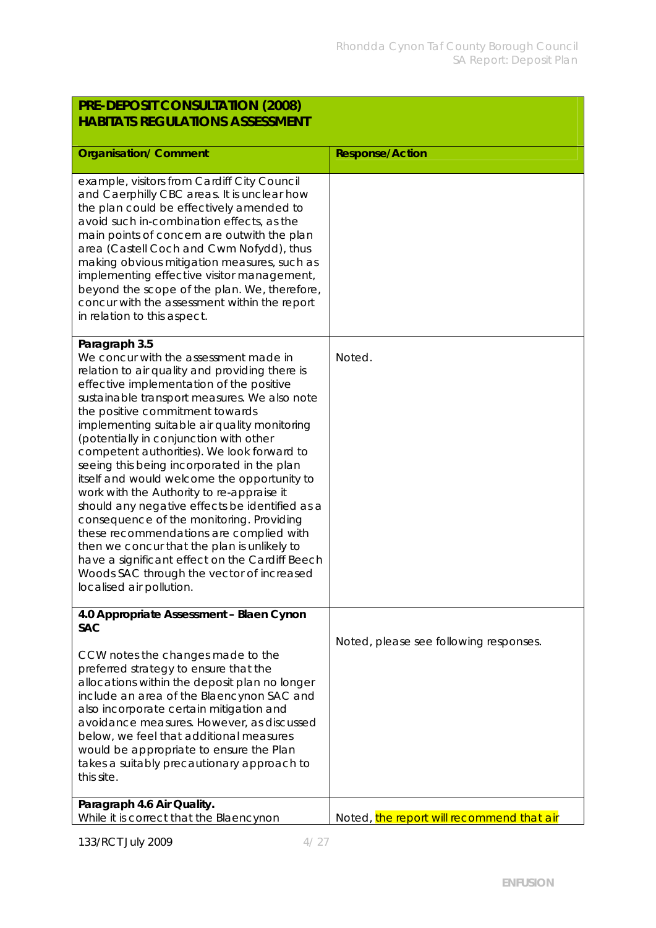| PRE-DEPOSIT CONSULTATION (2008)<br><b>HABITATS REGULATIONS ASSESSMENT</b>                                                                                                                                                                                                                                                                                                                                                                                                                                                                                                                                                                                                                                                                                                                                                                    |                                           |
|----------------------------------------------------------------------------------------------------------------------------------------------------------------------------------------------------------------------------------------------------------------------------------------------------------------------------------------------------------------------------------------------------------------------------------------------------------------------------------------------------------------------------------------------------------------------------------------------------------------------------------------------------------------------------------------------------------------------------------------------------------------------------------------------------------------------------------------------|-------------------------------------------|
| <b>Organisation/ Comment</b>                                                                                                                                                                                                                                                                                                                                                                                                                                                                                                                                                                                                                                                                                                                                                                                                                 | <b>Response/Action</b>                    |
| example, visitors from Cardiff City Council<br>and Caerphilly CBC areas. It is unclear how<br>the plan could be effectively amended to<br>avoid such in-combination effects, as the<br>main points of concern are outwith the plan<br>area (Castell Coch and Cwm Nofydd), thus<br>making obvious mitigation measures, such as<br>implementing effective visitor management,<br>beyond the scope of the plan. We, therefore,<br>concur with the assessment within the report<br>in relation to this aspect.                                                                                                                                                                                                                                                                                                                                   |                                           |
| Paragraph 3.5<br>We concur with the assessment made in<br>relation to air quality and providing there is<br>effective implementation of the positive<br>sustainable transport measures. We also note<br>the positive commitment towards<br>implementing suitable air quality monitoring<br>(potentially in conjunction with other<br>competent authorities). We look forward to<br>seeing this being incorporated in the plan<br>itself and would welcome the opportunity to<br>work with the Authority to re-appraise it<br>should any negative effects be identified as a<br>consequence of the monitoring. Providing<br>these recommendations are complied with<br>then we concur that the plan is unlikely to<br>have a significant effect on the Cardiff Beech<br>Woods SAC through the vector of increased<br>localised air pollution. | Noted.                                    |
| 4.0 Appropriate Assessment - Blaen Cynon<br><b>SAC</b>                                                                                                                                                                                                                                                                                                                                                                                                                                                                                                                                                                                                                                                                                                                                                                                       |                                           |
| CCW notes the changes made to the<br>preferred strategy to ensure that the<br>allocations within the deposit plan no longer<br>include an area of the Blaencynon SAC and<br>also incorporate certain mitigation and<br>avoidance measures. However, as discussed<br>below, we feel that additional measures<br>would be appropriate to ensure the Plan<br>takes a suitably precautionary approach to<br>this site.                                                                                                                                                                                                                                                                                                                                                                                                                           | Noted, please see following responses.    |
| Paragraph 4.6 Air Quality.<br>While it is correct that the Blaencynon                                                                                                                                                                                                                                                                                                                                                                                                                                                                                                                                                                                                                                                                                                                                                                        | Noted, the report will recommend that air |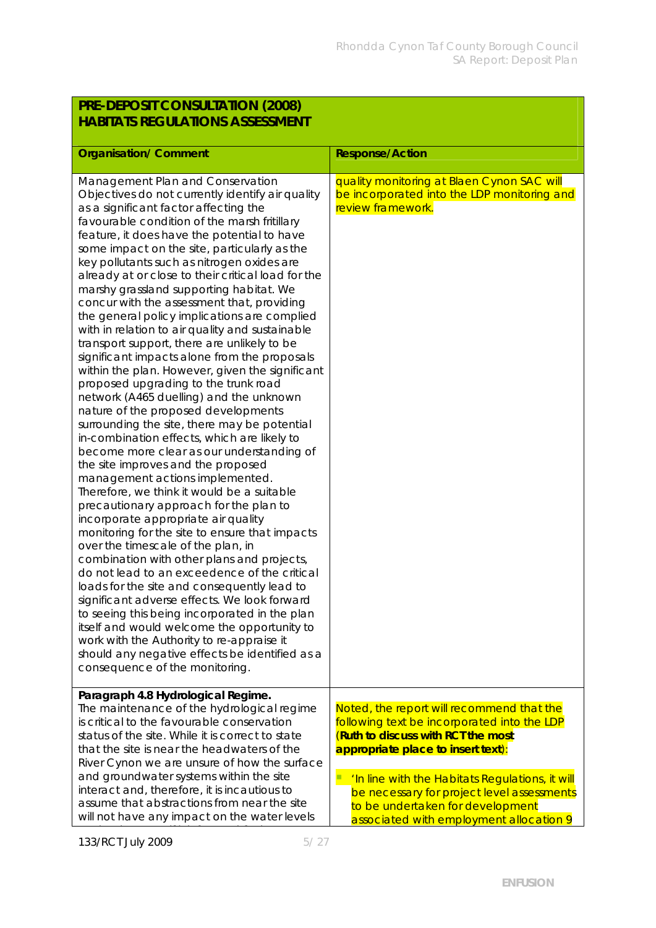| PRE-DEPOSIT CONSULTATION (2008) |  |
|---------------------------------|--|
| HABITATS REGULATIONS ASSESSMENT |  |

| <b>Organisation/ Comment</b>                                                                                                                                                                                                                                                                                                                                                                                                                                                                                                                                                                                                                                                                                                                                                                                                                                                                                                                                                                                                                                                                                                                                                                                                                                                                                                                                                                                                                                                                                                                                                                                                                                                                                                       | <b>Response/Action</b>                                                                                                                                                                                                                                                                                                                               |
|------------------------------------------------------------------------------------------------------------------------------------------------------------------------------------------------------------------------------------------------------------------------------------------------------------------------------------------------------------------------------------------------------------------------------------------------------------------------------------------------------------------------------------------------------------------------------------------------------------------------------------------------------------------------------------------------------------------------------------------------------------------------------------------------------------------------------------------------------------------------------------------------------------------------------------------------------------------------------------------------------------------------------------------------------------------------------------------------------------------------------------------------------------------------------------------------------------------------------------------------------------------------------------------------------------------------------------------------------------------------------------------------------------------------------------------------------------------------------------------------------------------------------------------------------------------------------------------------------------------------------------------------------------------------------------------------------------------------------------|------------------------------------------------------------------------------------------------------------------------------------------------------------------------------------------------------------------------------------------------------------------------------------------------------------------------------------------------------|
| Management Plan and Conservation<br>Objectives do not currently identify air quality<br>as a significant factor affecting the<br>favourable condition of the marsh fritillary<br>feature, it does have the potential to have<br>some impact on the site, particularly as the<br>key pollutants such as nitrogen oxides are<br>already at or close to their critical load for the<br>marshy grassland supporting habitat. We<br>concur with the assessment that, providing<br>the general policy implications are complied<br>with in relation to air quality and sustainable<br>transport support, there are unlikely to be<br>significant impacts alone from the proposals<br>within the plan. However, given the significant<br>proposed upgrading to the trunk road<br>network (A465 duelling) and the unknown<br>nature of the proposed developments<br>surrounding the site, there may be potential<br>in-combination effects, which are likely to<br>become more clear as our understanding of<br>the site improves and the proposed<br>management actions implemented.<br>Therefore, we think it would be a suitable<br>precautionary approach for the plan to<br>incorporate appropriate air quality<br>monitoring for the site to ensure that impacts<br>over the timescale of the plan, in<br>combination with other plans and projects,<br>do not lead to an exceedence of the critical<br>loads for the site and consequently lead to<br>significant adverse effects. We look forward<br>to seeing this being incorporated in the plan<br>itself and would welcome the opportunity to<br>work with the Authority to re-appraise it<br>should any negative effects be identified as a<br>consequence of the monitoring. | quality monitoring at Blaen Cynon SAC will<br>be incorporated into the LDP monitoring and<br>review framework.                                                                                                                                                                                                                                       |
| Paragraph 4.8 Hydrological Regime.<br>The maintenance of the hydrological regime<br>is critical to the favourable conservation<br>status of the site. While it is correct to state<br>that the site is near the headwaters of the<br>River Cynon we are unsure of how the surface<br>and groundwater systems within the site<br>interact and, therefore, it is incautious to<br>assume that abstractions from near the site<br>will not have any impact on the water levels                                                                                                                                                                                                                                                                                                                                                                                                                                                                                                                                                                                                                                                                                                                                                                                                                                                                                                                                                                                                                                                                                                                                                                                                                                                        | Noted, the report will recommend that the<br>following text be incorporated into the LDP<br>(Ruth to discuss with RCT the most<br>appropriate place to insert text):<br>'In line with the Habitats Regulations, it will<br>be necessary for project level assessments<br>to be undertaken for development<br>associated with employment allocation 9 |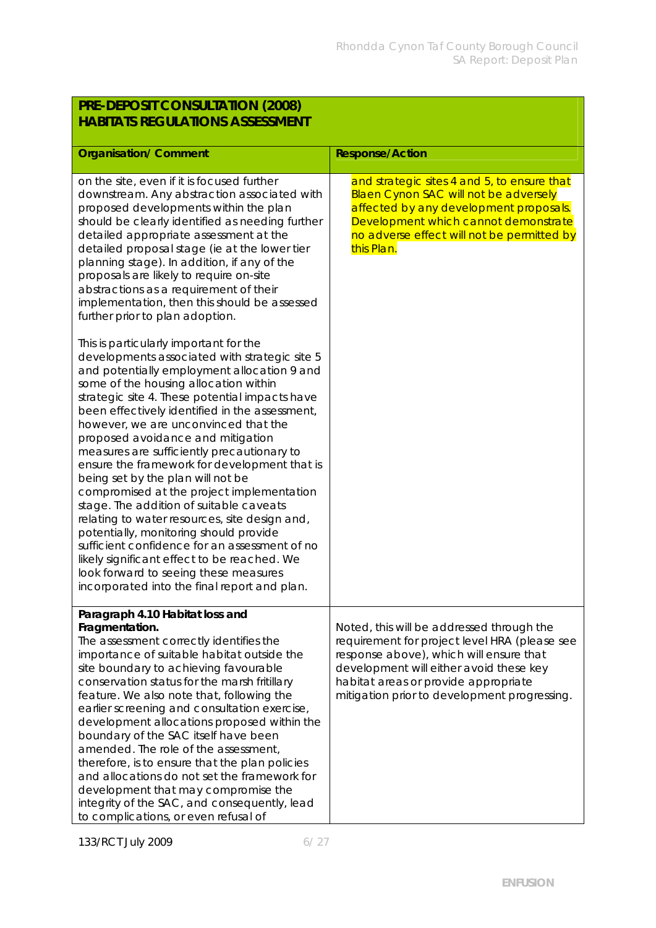| PRE-DEPOSIT CONSULTATION (2008)<br><b>HABITATS REGULATIONS ASSESSMENT</b>                                                                                                                                                                                                                                                                                                                                                                                                                                                                                                                                                                                                                                                                                                                                                                                                       |                                                                                                                                                                                                                                                                          |
|---------------------------------------------------------------------------------------------------------------------------------------------------------------------------------------------------------------------------------------------------------------------------------------------------------------------------------------------------------------------------------------------------------------------------------------------------------------------------------------------------------------------------------------------------------------------------------------------------------------------------------------------------------------------------------------------------------------------------------------------------------------------------------------------------------------------------------------------------------------------------------|--------------------------------------------------------------------------------------------------------------------------------------------------------------------------------------------------------------------------------------------------------------------------|
| <b>Organisation/ Comment</b>                                                                                                                                                                                                                                                                                                                                                                                                                                                                                                                                                                                                                                                                                                                                                                                                                                                    | <b>Response/Action</b>                                                                                                                                                                                                                                                   |
| on the site, even if it is focused further<br>downstream. Any abstraction associated with<br>proposed developments within the plan<br>should be clearly identified as needing further<br>detailed appropriate assessment at the<br>detailed proposal stage (ie at the lower tier<br>planning stage). In addition, if any of the<br>proposals are likely to require on-site<br>abstractions as a requirement of their<br>implementation, then this should be assessed<br>further prior to plan adoption.                                                                                                                                                                                                                                                                                                                                                                         | and strategic sites 4 and 5, to ensure that<br><b>Blaen Cynon SAC will not be adversely</b><br>affected by any development proposals.<br>Development which cannot demonstrate<br>no adverse effect will not be permitted by<br>this Plan.                                |
| This is particularly important for the<br>developments associated with strategic site 5<br>and potentially employment allocation 9 and<br>some of the housing allocation within<br>strategic site 4. These potential impacts have<br>been effectively identified in the assessment,<br>however, we are unconvinced that the<br>proposed avoidance and mitigation<br>measures are sufficiently precautionary to<br>ensure the framework for development that is<br>being set by the plan will not be<br>compromised at the project implementation<br>stage. The addition of suitable caveats<br>relating to water resources, site design and,<br>potentially, monitoring should provide<br>sufficient confidence for an assessment of no<br>likely significant effect to be reached. We<br>look forward to seeing these measures<br>incorporated into the final report and plan. |                                                                                                                                                                                                                                                                          |
| Paragraph 4.10 Habitat loss and<br>Fragmentation.<br>The assessment correctly identifies the<br>importance of suitable habitat outside the<br>site boundary to achieving favourable<br>conservation status for the marsh fritillary<br>feature. We also note that, following the<br>earlier screening and consultation exercise,<br>development allocations proposed within the<br>boundary of the SAC itself have been<br>amended. The role of the assessment,<br>therefore, is to ensure that the plan policies<br>and allocations do not set the framework for<br>development that may compromise the<br>integrity of the SAC, and consequently, lead<br>to complications, or even refusal of                                                                                                                                                                                | Noted, this will be addressed through the<br>requirement for project level HRA (please see<br>response above), which will ensure that<br>development will either avoid these key<br>habitat areas or provide appropriate<br>mitigation prior to development progressing. |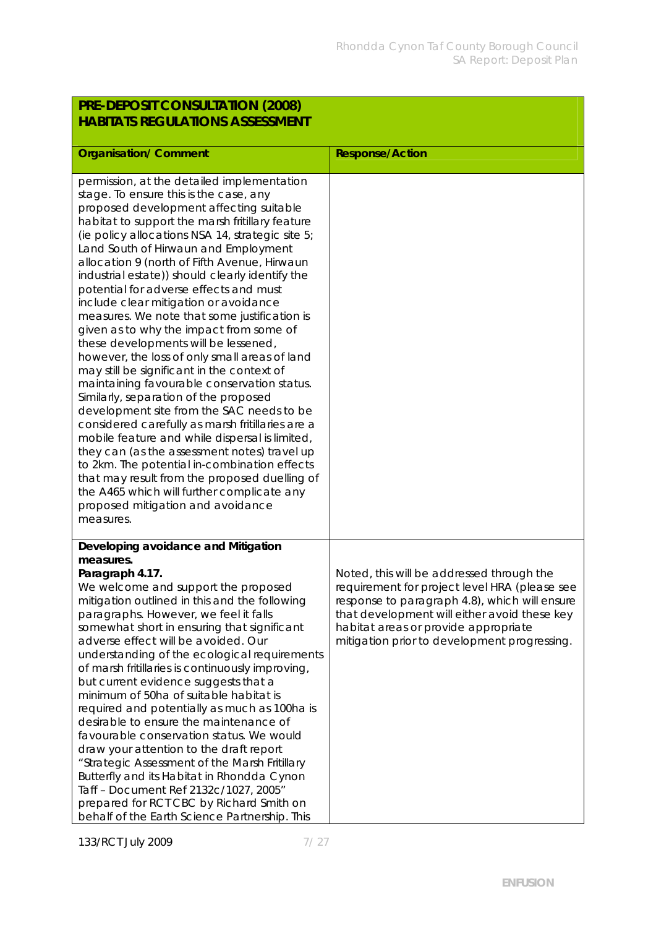| PRE-DEPOSIT CONSULTATION (2008)                                                                                                                                                                                                                                                                                                                                                                                                                                                                                                                                                                                                                                                                                                                                                                                                                                                                                                                                                                                                                                                                                                                                                                    |                                                                                                                                                                                                                                                                                     |
|----------------------------------------------------------------------------------------------------------------------------------------------------------------------------------------------------------------------------------------------------------------------------------------------------------------------------------------------------------------------------------------------------------------------------------------------------------------------------------------------------------------------------------------------------------------------------------------------------------------------------------------------------------------------------------------------------------------------------------------------------------------------------------------------------------------------------------------------------------------------------------------------------------------------------------------------------------------------------------------------------------------------------------------------------------------------------------------------------------------------------------------------------------------------------------------------------|-------------------------------------------------------------------------------------------------------------------------------------------------------------------------------------------------------------------------------------------------------------------------------------|
| <b>HABITATS REGULATIONS ASSESSMENT</b>                                                                                                                                                                                                                                                                                                                                                                                                                                                                                                                                                                                                                                                                                                                                                                                                                                                                                                                                                                                                                                                                                                                                                             |                                                                                                                                                                                                                                                                                     |
| <b>Organisation/ Comment</b>                                                                                                                                                                                                                                                                                                                                                                                                                                                                                                                                                                                                                                                                                                                                                                                                                                                                                                                                                                                                                                                                                                                                                                       | Response/Action                                                                                                                                                                                                                                                                     |
| permission, at the detailed implementation<br>stage. To ensure this is the case, any<br>proposed development affecting suitable<br>habitat to support the marsh fritillary feature<br>(ie policy allocations NSA 14, strategic site 5;<br>Land South of Hirwaun and Employment<br>allocation 9 (north of Fifth Avenue, Hirwaun<br>industrial estate)) should clearly identify the<br>potential for adverse effects and must<br>include clear mitigation or avoidance<br>measures. We note that some justification is<br>given as to why the impact from some of<br>these developments will be lessened,<br>however, the loss of only small areas of land<br>may still be significant in the context of<br>maintaining favourable conservation status.<br>Similarly, separation of the proposed<br>development site from the SAC needs to be<br>considered carefully as marsh fritillaries are a<br>mobile feature and while dispersal is limited,<br>they can (as the assessment notes) travel up<br>to 2km. The potential in-combination effects<br>that may result from the proposed duelling of<br>the A465 which will further complicate any<br>proposed mitigation and avoidance<br>measures. |                                                                                                                                                                                                                                                                                     |
| Developing avoidance and Mitigation<br>measures.<br>Paragraph 4.17.<br>We welcome and support the proposed<br>mitigation outlined in this and the following<br>paragraphs. However, we feel it falls<br>somewhat short in ensuring that significant<br>adverse effect will be avoided. Our<br>understanding of the ecological requirements<br>of marsh fritillaries is continuously improving,<br>but current evidence suggests that a<br>minimum of 50ha of suitable habitat is<br>required and potentially as much as 100ha is<br>desirable to ensure the maintenance of<br>favourable conservation status. We would<br>draw your attention to the draft report<br>"Strategic Assessment of the Marsh Fritillary<br>Butterfly and its Habitat in Rhondda Cynon<br>Taff - Document Ref 2132c/1027, 2005"<br>prepared for RCT CBC by Richard Smith on<br>behalf of the Earth Science Partnership. This                                                                                                                                                                                                                                                                                             | Noted, this will be addressed through the<br>requirement for project level HRA (please see<br>response to paragraph 4.8), which will ensure<br>that development will either avoid these key<br>habitat areas or provide appropriate<br>mitigation prior to development progressing. |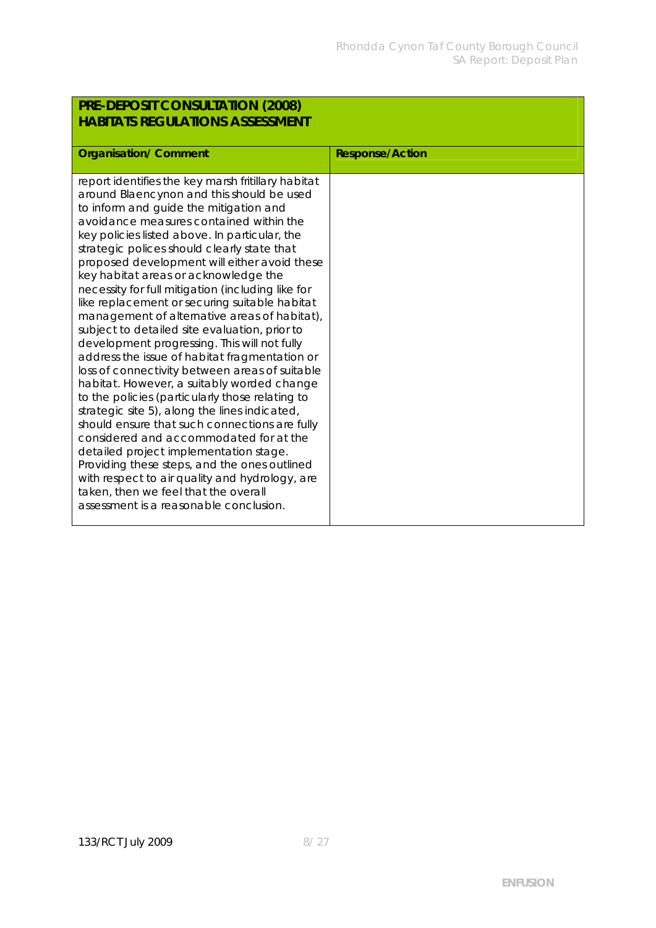| PRE-DEPOSIT CONSULTATION (2008)                                                                                                                                                                                                                                                                                                                                                                                                                                                                                                                                                                                                                                                                                                                                                                                                                                                                                                                                                                                                                                                                                                                                                                                   |                        |
|-------------------------------------------------------------------------------------------------------------------------------------------------------------------------------------------------------------------------------------------------------------------------------------------------------------------------------------------------------------------------------------------------------------------------------------------------------------------------------------------------------------------------------------------------------------------------------------------------------------------------------------------------------------------------------------------------------------------------------------------------------------------------------------------------------------------------------------------------------------------------------------------------------------------------------------------------------------------------------------------------------------------------------------------------------------------------------------------------------------------------------------------------------------------------------------------------------------------|------------------------|
| <b>HABITATS REGULATIONS ASSESSMENT</b>                                                                                                                                                                                                                                                                                                                                                                                                                                                                                                                                                                                                                                                                                                                                                                                                                                                                                                                                                                                                                                                                                                                                                                            |                        |
|                                                                                                                                                                                                                                                                                                                                                                                                                                                                                                                                                                                                                                                                                                                                                                                                                                                                                                                                                                                                                                                                                                                                                                                                                   |                        |
| <b>Organisation/ Comment</b>                                                                                                                                                                                                                                                                                                                                                                                                                                                                                                                                                                                                                                                                                                                                                                                                                                                                                                                                                                                                                                                                                                                                                                                      | <b>Response/Action</b> |
| report identifies the key marsh fritillary habitat<br>around Blaencynon and this should be used<br>to inform and guide the mitigation and<br>avoidance measures contained within the<br>key policies listed above. In particular, the<br>strategic polices should clearly state that<br>proposed development will either avoid these<br>key habitat areas or acknowledge the<br>necessity for full mitigation (including like for<br>like replacement or securing suitable habitat<br>management of alternative areas of habitat),<br>subject to detailed site evaluation, prior to<br>development progressing. This will not fully<br>address the issue of habitat fragmentation or<br>loss of connectivity between areas of suitable<br>habitat. However, a suitably worded change<br>to the policies (particularly those relating to<br>strategic site 5), along the lines indicated,<br>should ensure that such connections are fully<br>considered and accommodated for at the<br>detailed project implementation stage.<br>Providing these steps, and the ones outlined<br>with respect to air quality and hydrology, are<br>taken, then we feel that the overall<br>assessment is a reasonable conclusion. |                        |

## 133/RCT July 2009 8/27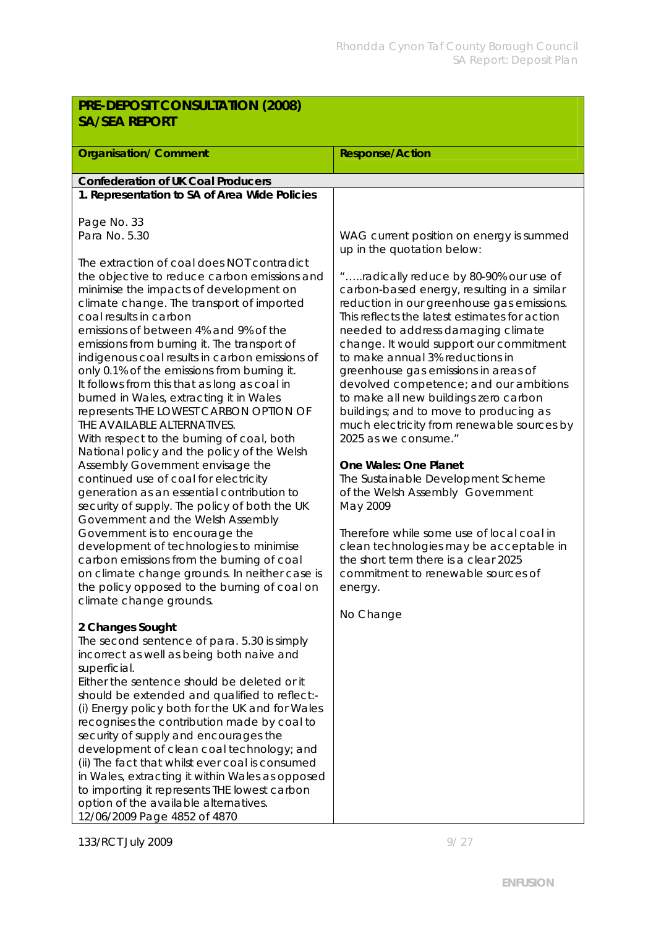| PRE-DEPOSIT CONSULTATION (2008)                                                     |                                                                                           |  |
|-------------------------------------------------------------------------------------|-------------------------------------------------------------------------------------------|--|
| <b>SA/SEA REPORT</b>                                                                |                                                                                           |  |
|                                                                                     |                                                                                           |  |
| <b>Organisation/ Comment</b>                                                        | <b>Response/Action</b>                                                                    |  |
| Confederation of UK Coal Producers                                                  |                                                                                           |  |
| 1. Representation to SA of Area Wide Policies                                       |                                                                                           |  |
|                                                                                     |                                                                                           |  |
| Page No. 33                                                                         |                                                                                           |  |
| Para No. 5.30                                                                       | WAG current position on energy is summed                                                  |  |
|                                                                                     | up in the quotation below:                                                                |  |
| The extraction of coal does NOT contradict                                          |                                                                                           |  |
| the objective to reduce carbon emissions and                                        | "radically reduce by 80-90% our use of                                                    |  |
| minimise the impacts of development on<br>climate change. The transport of imported | carbon-based energy, resulting in a similar<br>reduction in our greenhouse gas emissions. |  |
| coal results in carbon                                                              | This reflects the latest estimates for action                                             |  |
| emissions of between 4% and 9% of the                                               | needed to address damaging climate                                                        |  |
| emissions from burning it. The transport of                                         | change. It would support our commitment                                                   |  |
| indigenous coal results in carbon emissions of                                      | to make annual 3% reductions in                                                           |  |
| only 0.1% of the emissions from burning it.                                         | greenhouse gas emissions in areas of                                                      |  |
| It follows from this that as long as coal in                                        | devolved competence; and our ambitions                                                    |  |
| burned in Wales, extracting it in Wales<br>represents THE LOWEST CARBON OPTION OF   | to make all new buildings zero carbon<br>buildings; and to move to producing as           |  |
| THE AVAILABLE ALTERNATIVES.                                                         | much electricity from renewable sources by                                                |  |
| With respect to the burning of coal, both                                           | 2025 as we consume."                                                                      |  |
| National policy and the policy of the Welsh                                         |                                                                                           |  |
| Assembly Government envisage the                                                    | One Wales: One Planet                                                                     |  |
| continued use of coal for electricity                                               | The Sustainable Development Scheme                                                        |  |
| generation as an essential contribution to                                          | of the Welsh Assembly Government                                                          |  |
| security of supply. The policy of both the UK<br>Government and the Welsh Assembly  | May 2009                                                                                  |  |
| Government is to encourage the                                                      | Therefore while some use of local coal in                                                 |  |
| development of technologies to minimise                                             | clean technologies may be acceptable in                                                   |  |
| carbon emissions from the burning of coal                                           | the short term there is a clear 2025                                                      |  |
| on climate change grounds. In neither case is                                       | commitment to renewable sources of                                                        |  |
| the policy opposed to the burning of coal on                                        | energy.                                                                                   |  |
| climate change grounds.                                                             |                                                                                           |  |
|                                                                                     | No Change                                                                                 |  |
| 2 Changes Sought<br>The second sentence of para. 5.30 is simply                     |                                                                                           |  |
| incorrect as well as being both naive and                                           |                                                                                           |  |
| superficial.                                                                        |                                                                                           |  |
| Either the sentence should be deleted or it                                         |                                                                                           |  |
| should be extended and qualified to reflect:-                                       |                                                                                           |  |
| (i) Energy policy both for the UK and for Wales                                     |                                                                                           |  |
| recognises the contribution made by coal to                                         |                                                                                           |  |
| security of supply and encourages the<br>development of clean coal technology; and  |                                                                                           |  |
| (ii) The fact that whilst ever coal is consumed                                     |                                                                                           |  |
| in Wales, extracting it within Wales as opposed                                     |                                                                                           |  |
| to importing it represents THE lowest carbon                                        |                                                                                           |  |
| option of the available alternatives.                                               |                                                                                           |  |
| 12/06/2009 Page 4852 of 4870                                                        |                                                                                           |  |

133/RCT July 2009 9/27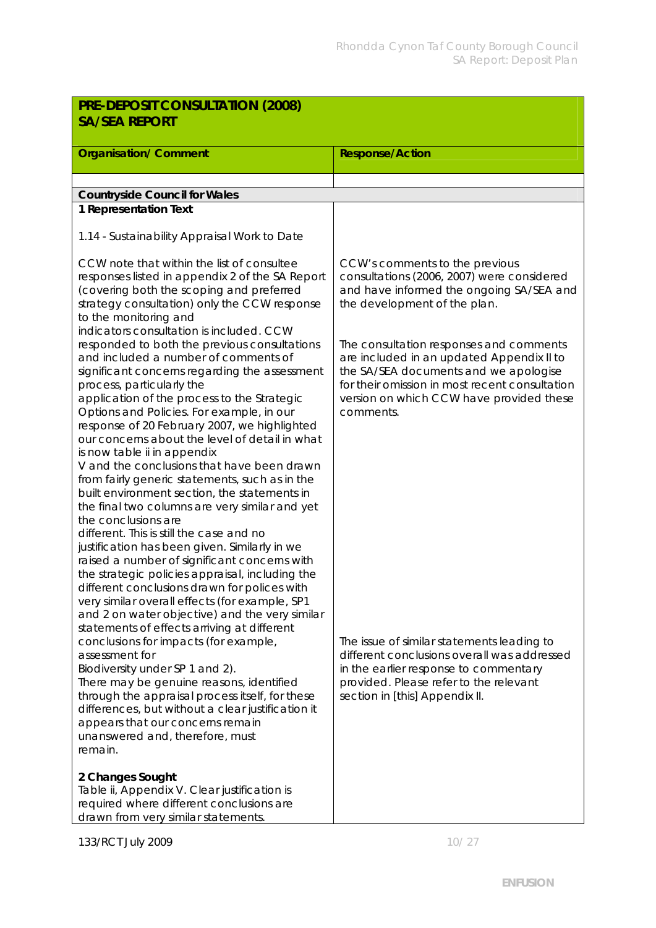| PRE-DEPOSIT CONSULTATION (2008)                                                                                                                                                                                                                                                                                                                                                                                                                                                                                                                                                                                                                                                                                       |                                                                                                                                                                                                                                          |  |
|-----------------------------------------------------------------------------------------------------------------------------------------------------------------------------------------------------------------------------------------------------------------------------------------------------------------------------------------------------------------------------------------------------------------------------------------------------------------------------------------------------------------------------------------------------------------------------------------------------------------------------------------------------------------------------------------------------------------------|------------------------------------------------------------------------------------------------------------------------------------------------------------------------------------------------------------------------------------------|--|
| <b>SA/SEA REPORT</b>                                                                                                                                                                                                                                                                                                                                                                                                                                                                                                                                                                                                                                                                                                  |                                                                                                                                                                                                                                          |  |
| <b>Organisation/ Comment</b>                                                                                                                                                                                                                                                                                                                                                                                                                                                                                                                                                                                                                                                                                          | <b>Response/Action</b>                                                                                                                                                                                                                   |  |
|                                                                                                                                                                                                                                                                                                                                                                                                                                                                                                                                                                                                                                                                                                                       |                                                                                                                                                                                                                                          |  |
| <b>Countryside Council for Wales</b>                                                                                                                                                                                                                                                                                                                                                                                                                                                                                                                                                                                                                                                                                  |                                                                                                                                                                                                                                          |  |
| 1 Representation Text                                                                                                                                                                                                                                                                                                                                                                                                                                                                                                                                                                                                                                                                                                 |                                                                                                                                                                                                                                          |  |
| 1.14 - Sustainability Appraisal Work to Date                                                                                                                                                                                                                                                                                                                                                                                                                                                                                                                                                                                                                                                                          |                                                                                                                                                                                                                                          |  |
| CCW note that within the list of consultee<br>responses listed in appendix 2 of the SA Report<br>(covering both the scoping and preferred<br>strategy consultation) only the CCW response<br>to the monitoring and<br>indicators consultation is included. CCW                                                                                                                                                                                                                                                                                                                                                                                                                                                        | CCW's comments to the previous<br>consultations (2006, 2007) were considered<br>and have informed the ongoing SA/SEA and<br>the development of the plan.                                                                                 |  |
| responded to both the previous consultations<br>and included a number of comments of<br>significant concerns regarding the assessment<br>process, particularly the<br>application of the process to the Strategic<br>Options and Policies. For example, in our<br>response of 20 February 2007, we highlighted<br>our concerns about the level of detail in what<br>is now table ii in appendix<br>V and the conclusions that have been drawn<br>from fairly generic statements, such as in the<br>built environment section, the statements in<br>the final two columns are very similar and yet<br>the conclusions are<br>different. This is still the case and no<br>justification has been given. Similarly in we | The consultation responses and comments<br>are included in an updated Appendix II to<br>the SA/SEA documents and we apologise<br>for their omission in most recent consultation<br>version on which CCW have provided these<br>comments. |  |
| raised a number of significant concerns with<br>the strategic policies appraisal, including the<br>different conclusions drawn for polices with<br>very similar overall effects (for example, SP1<br>and 2 on water objective) and the very similar<br>statements of effects arriving at different<br>conclusions for impacts (for example,<br>assessment for<br>Biodiversity under SP 1 and 2).<br>There may be genuine reasons, identified<br>through the appraisal process itself, for these<br>differences, but without a clear justification it<br>appears that our concerns remain<br>unanswered and, therefore, must<br>remain.<br>2 Changes Sought                                                            | The issue of similar statements leading to<br>different conclusions overall was addressed<br>in the earlier response to commentary<br>provided. Please refer to the relevant<br>section in [this] Appendix II.                           |  |
| Table ii, Appendix V. Clear justification is<br>required where different conclusions are<br>drawn from very similar statements.                                                                                                                                                                                                                                                                                                                                                                                                                                                                                                                                                                                       |                                                                                                                                                                                                                                          |  |

133/RCT July 2009 10/27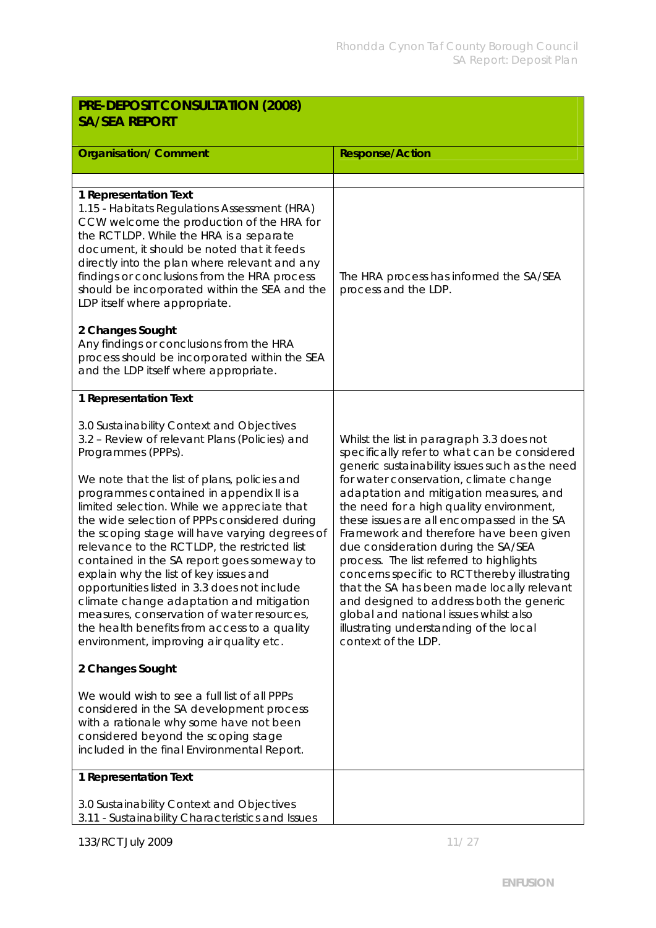| PRE-DEPOSIT CONSULTATION (2008)<br><b>SA/SEA REPORT</b>                                                                                                                                                                                                                                                                                                                                                                                                                                                                                                                                                                                                                                                                                                                                                                                                                                                                                                                                                                                        |                                                                                                                                                                                                                                                                                                                                                                                                                                                                                                                                                                                                                                                                                                                 |
|------------------------------------------------------------------------------------------------------------------------------------------------------------------------------------------------------------------------------------------------------------------------------------------------------------------------------------------------------------------------------------------------------------------------------------------------------------------------------------------------------------------------------------------------------------------------------------------------------------------------------------------------------------------------------------------------------------------------------------------------------------------------------------------------------------------------------------------------------------------------------------------------------------------------------------------------------------------------------------------------------------------------------------------------|-----------------------------------------------------------------------------------------------------------------------------------------------------------------------------------------------------------------------------------------------------------------------------------------------------------------------------------------------------------------------------------------------------------------------------------------------------------------------------------------------------------------------------------------------------------------------------------------------------------------------------------------------------------------------------------------------------------------|
| <b>Organisation/Comment</b>                                                                                                                                                                                                                                                                                                                                                                                                                                                                                                                                                                                                                                                                                                                                                                                                                                                                                                                                                                                                                    | <b>Response/Action</b>                                                                                                                                                                                                                                                                                                                                                                                                                                                                                                                                                                                                                                                                                          |
| 1 Representation Text<br>1.15 - Habitats Regulations Assessment (HRA)<br>CCW welcome the production of the HRA for<br>the RCT LDP. While the HRA is a separate<br>document, it should be noted that it feeds<br>directly into the plan where relevant and any<br>findings or conclusions from the HRA process<br>should be incorporated within the SEA and the<br>LDP itself where appropriate.<br>2 Changes Sought<br>Any findings or conclusions from the HRA<br>process should be incorporated within the SEA<br>and the LDP itself where appropriate.                                                                                                                                                                                                                                                                                                                                                                                                                                                                                      | The HRA process has informed the SA/SEA<br>process and the LDP.                                                                                                                                                                                                                                                                                                                                                                                                                                                                                                                                                                                                                                                 |
| 1 Representation Text<br>3.0 Sustainability Context and Objectives<br>3.2 - Review of relevant Plans (Policies) and<br>Programmes (PPPs).<br>We note that the list of plans, policies and<br>programmes contained in appendix II is a<br>limited selection. While we appreciate that<br>the wide selection of PPPs considered during<br>the scoping stage will have varying degrees of<br>relevance to the RCT LDP, the restricted list<br>contained in the SA report goes someway to<br>explain why the list of key issues and<br>opportunities listed in 3.3 does not include<br>climate change adaptation and mitigation<br>measures, conservation of water resources,<br>the health benefits from access to a quality<br>environment, improving air quality etc.<br>2 Changes Sought<br>We would wish to see a full list of all PPPs<br>considered in the SA development process<br>with a rationale why some have not been<br>considered beyond the scoping stage<br>included in the final Environmental Report.<br>1 Representation Text | Whilst the list in paragraph 3.3 does not<br>specifically refer to what can be considered<br>generic sustainability issues such as the need<br>for water conservation, climate change<br>adaptation and mitigation measures, and<br>the need for a high quality environment,<br>these issues are all encompassed in the SA<br>Framework and therefore have been given<br>due consideration during the SA/SEA<br>process. The list referred to highlights<br>concerns specific to RCT thereby illustrating<br>that the SA has been made locally relevant<br>and designed to address both the generic<br>global and national issues whilst also<br>illustrating understanding of the local<br>context of the LDP. |
| 3.0 Sustainability Context and Objectives<br>3.11 - Sustainability Characteristics and Issues                                                                                                                                                                                                                                                                                                                                                                                                                                                                                                                                                                                                                                                                                                                                                                                                                                                                                                                                                  |                                                                                                                                                                                                                                                                                                                                                                                                                                                                                                                                                                                                                                                                                                                 |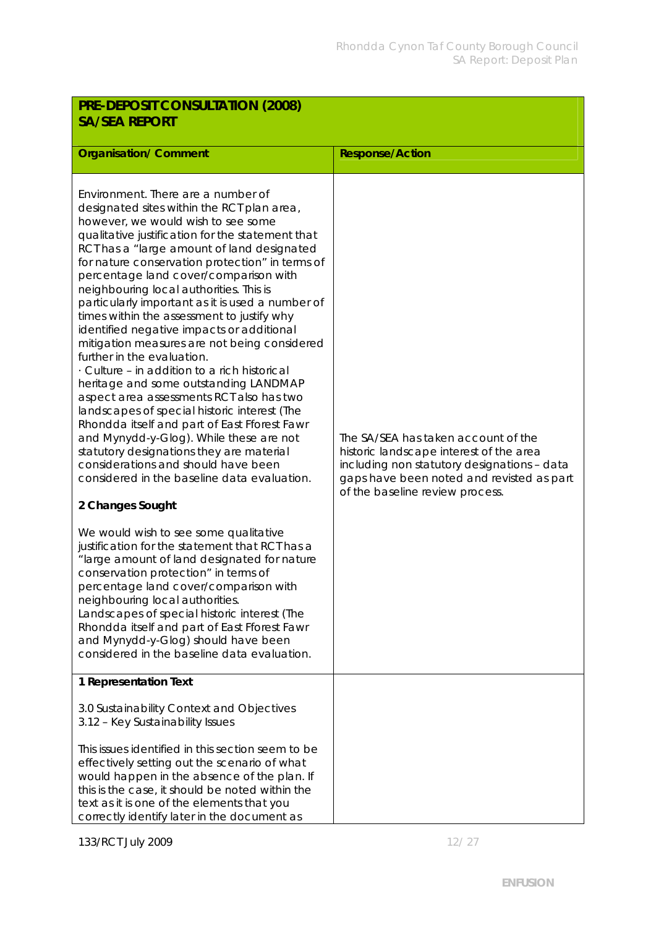| PRE-DEPOSIT CONSULTATION (2008)<br><b>SA/SEA REPORT</b>                                                                                                                                                                                                                                                                                                                                                                                                                                                                                                                                                                                                                                                                                                                                                                                                                                                                                                                                                                                                                                                                                                                                                                                                                                                                                                                                                                                                                              |                                                                                                                                                                                                               |  |
|--------------------------------------------------------------------------------------------------------------------------------------------------------------------------------------------------------------------------------------------------------------------------------------------------------------------------------------------------------------------------------------------------------------------------------------------------------------------------------------------------------------------------------------------------------------------------------------------------------------------------------------------------------------------------------------------------------------------------------------------------------------------------------------------------------------------------------------------------------------------------------------------------------------------------------------------------------------------------------------------------------------------------------------------------------------------------------------------------------------------------------------------------------------------------------------------------------------------------------------------------------------------------------------------------------------------------------------------------------------------------------------------------------------------------------------------------------------------------------------|---------------------------------------------------------------------------------------------------------------------------------------------------------------------------------------------------------------|--|
| <b>Organisation/ Comment</b>                                                                                                                                                                                                                                                                                                                                                                                                                                                                                                                                                                                                                                                                                                                                                                                                                                                                                                                                                                                                                                                                                                                                                                                                                                                                                                                                                                                                                                                         | <b>Response/Action</b>                                                                                                                                                                                        |  |
| Environment. There are a number of<br>designated sites within the RCT plan area,<br>however, we would wish to see some<br>qualitative justification for the statement that<br>RCT has a "large amount of land designated<br>for nature conservation protection" in terms of<br>percentage land cover/comparison with<br>neighbouring local authorities. This is<br>particularly important as it is used a number of<br>times within the assessment to justify why<br>identified negative impacts or additional<br>mitigation measures are not being considered<br>further in the evaluation.<br>Culture - in addition to a rich historical<br>heritage and some outstanding LANDMAP<br>aspect area assessments RCT also has two<br>landscapes of special historic interest (The<br>Rhondda itself and part of East Fforest Fawr<br>and Mynydd-y-Glog). While these are not<br>statutory designations they are material<br>considerations and should have been<br>considered in the baseline data evaluation.<br>2 Changes Sought<br>We would wish to see some qualitative<br>justification for the statement that RCT has a<br>"large amount of land designated for nature<br>conservation protection" in terms of<br>percentage land cover/comparison with<br>neighbouring local authorities.<br>Landscapes of special historic interest (The<br>Rhondda itself and part of East Fforest Fawr<br>and Mynydd-y-Glog) should have been<br>considered in the baseline data evaluation. | The SA/SEA has taken account of the<br>historic landscape interest of the area<br>including non statutory designations - data<br>gaps have been noted and revisted as part<br>of the baseline review process. |  |
| 1 Representation Text<br>3.0 Sustainability Context and Objectives                                                                                                                                                                                                                                                                                                                                                                                                                                                                                                                                                                                                                                                                                                                                                                                                                                                                                                                                                                                                                                                                                                                                                                                                                                                                                                                                                                                                                   |                                                                                                                                                                                                               |  |
| 3.12 - Key Sustainability Issues                                                                                                                                                                                                                                                                                                                                                                                                                                                                                                                                                                                                                                                                                                                                                                                                                                                                                                                                                                                                                                                                                                                                                                                                                                                                                                                                                                                                                                                     |                                                                                                                                                                                                               |  |
| This issues identified in this section seem to be<br>effectively setting out the scenario of what                                                                                                                                                                                                                                                                                                                                                                                                                                                                                                                                                                                                                                                                                                                                                                                                                                                                                                                                                                                                                                                                                                                                                                                                                                                                                                                                                                                    |                                                                                                                                                                                                               |  |
| would happen in the absence of the plan. If<br>this is the case, it should be noted within the<br>text as it is one of the elements that you                                                                                                                                                                                                                                                                                                                                                                                                                                                                                                                                                                                                                                                                                                                                                                                                                                                                                                                                                                                                                                                                                                                                                                                                                                                                                                                                         |                                                                                                                                                                                                               |  |
| correctly identify later in the document as                                                                                                                                                                                                                                                                                                                                                                                                                                                                                                                                                                                                                                                                                                                                                                                                                                                                                                                                                                                                                                                                                                                                                                                                                                                                                                                                                                                                                                          |                                                                                                                                                                                                               |  |

133/RCT July 2009 12/27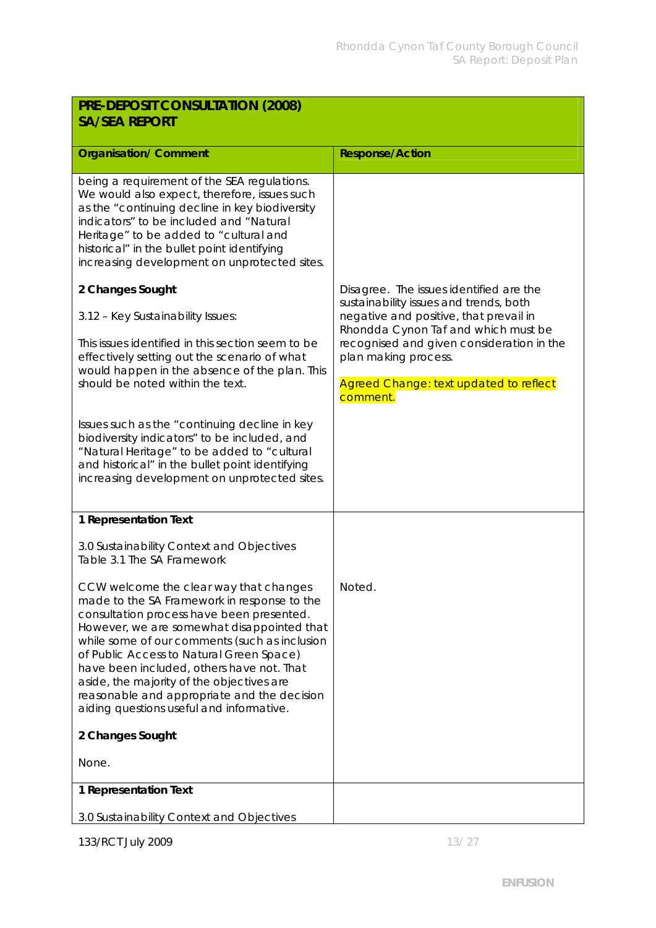| PRE-DEPOSIT CONSULTATION (2008)                                                                                                                                                                                                                                                                                                                                                                                                                                                                 |                                                                                                                                                                                                          |
|-------------------------------------------------------------------------------------------------------------------------------------------------------------------------------------------------------------------------------------------------------------------------------------------------------------------------------------------------------------------------------------------------------------------------------------------------------------------------------------------------|----------------------------------------------------------------------------------------------------------------------------------------------------------------------------------------------------------|
| <b>SA/SEA REPORT</b>                                                                                                                                                                                                                                                                                                                                                                                                                                                                            |                                                                                                                                                                                                          |
| <b>Organisation/ Comment</b>                                                                                                                                                                                                                                                                                                                                                                                                                                                                    | <b>Response/Action</b>                                                                                                                                                                                   |
| being a requirement of the SEA regulations.<br>We would also expect, therefore, issues such<br>as the "continuing decline in key biodiversity<br>indicators" to be included and "Natural<br>Heritage" to be added to "cultural and<br>historical" in the bullet point identifying<br>increasing development on unprotected sites.                                                                                                                                                               |                                                                                                                                                                                                          |
| 2 Changes Sought                                                                                                                                                                                                                                                                                                                                                                                                                                                                                | Disagree. The issues identified are the<br>sustainability issues and trends, both                                                                                                                        |
| 3.12 - Key Sustainability Issues:<br>This issues identified in this section seem to be<br>effectively setting out the scenario of what<br>would happen in the absence of the plan. This<br>should be noted within the text.                                                                                                                                                                                                                                                                     | negative and positive, that prevail in<br>Rhondda Cynon Taf and which must be<br>recognised and given consideration in the<br>plan making process.<br>Agreed Change: text updated to reflect<br>comment. |
| Issues such as the "continuing decline in key<br>biodiversity indicators" to be included, and<br>"Natural Heritage" to be added to "cultural<br>and historical" in the bullet point identifying<br>increasing development on unprotected sites.                                                                                                                                                                                                                                                 |                                                                                                                                                                                                          |
| 1 Representation Text                                                                                                                                                                                                                                                                                                                                                                                                                                                                           |                                                                                                                                                                                                          |
| 3.0 Sustainability Context and Objectives<br>Table 3.1 The SA Framework                                                                                                                                                                                                                                                                                                                                                                                                                         |                                                                                                                                                                                                          |
| CCW welcome the clear way that changes<br>made to the SA Framework in response to the<br>consultation process have been presented.<br>However, we are somewhat disappointed that<br>while some of our comments (such as inclusion<br>of Public Access to Natural Green Space)<br>have been included, others have not. That<br>aside, the majority of the objectives are<br>reasonable and appropriate and the decision<br>aiding questions useful and informative.<br>2 Changes Sought<br>None. | Noted.                                                                                                                                                                                                   |
| 1 Representation Text                                                                                                                                                                                                                                                                                                                                                                                                                                                                           |                                                                                                                                                                                                          |
| 3.0 Sustainability Context and Objectives                                                                                                                                                                                                                                                                                                                                                                                                                                                       |                                                                                                                                                                                                          |

133/RCT July 2009 13/27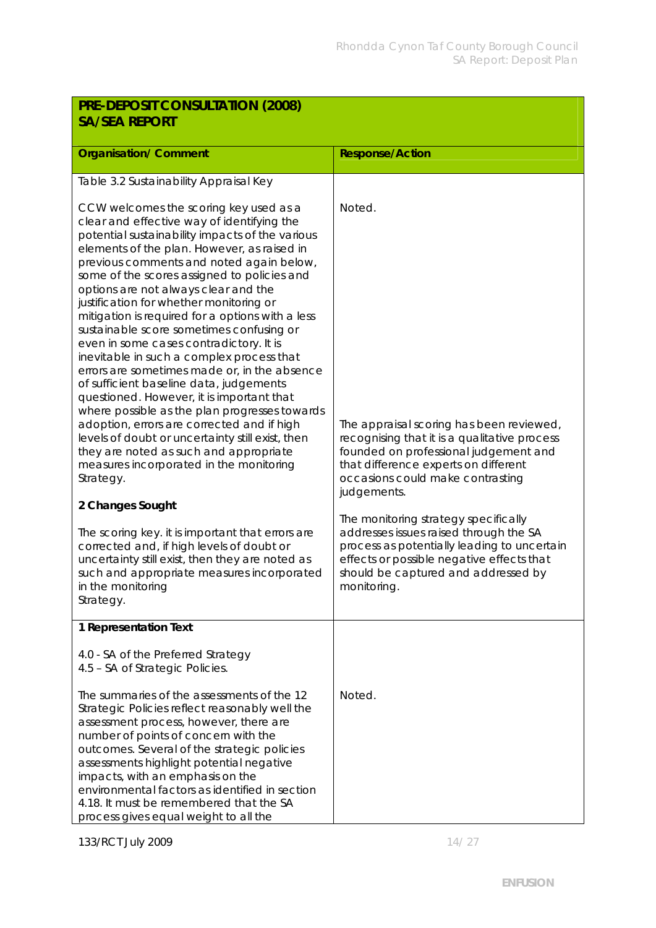| PRE-DEPOSIT CONSULTATION (2008)<br><b>SA/SEA REPORT</b>                                                                                                                                                                                                                                                                                                                                                                                                                                                                                                                                                                                                                                                                                                                                                                                                                                                                                                   |                                                                                                                                                                                                                                  |  |
|-----------------------------------------------------------------------------------------------------------------------------------------------------------------------------------------------------------------------------------------------------------------------------------------------------------------------------------------------------------------------------------------------------------------------------------------------------------------------------------------------------------------------------------------------------------------------------------------------------------------------------------------------------------------------------------------------------------------------------------------------------------------------------------------------------------------------------------------------------------------------------------------------------------------------------------------------------------|----------------------------------------------------------------------------------------------------------------------------------------------------------------------------------------------------------------------------------|--|
|                                                                                                                                                                                                                                                                                                                                                                                                                                                                                                                                                                                                                                                                                                                                                                                                                                                                                                                                                           |                                                                                                                                                                                                                                  |  |
| <b>Organisation/ Comment</b>                                                                                                                                                                                                                                                                                                                                                                                                                                                                                                                                                                                                                                                                                                                                                                                                                                                                                                                              | <b>Response/Action</b>                                                                                                                                                                                                           |  |
| Table 3.2 Sustainability Appraisal Key                                                                                                                                                                                                                                                                                                                                                                                                                                                                                                                                                                                                                                                                                                                                                                                                                                                                                                                    |                                                                                                                                                                                                                                  |  |
| CCW welcomes the scoring key used as a<br>clear and effective way of identifying the<br>potential sustainability impacts of the various<br>elements of the plan. However, as raised in<br>previous comments and noted again below,<br>some of the scores assigned to policies and<br>options are not always clear and the<br>justification for whether monitoring or<br>mitigation is required for a options with a less<br>sustainable score sometimes confusing or<br>even in some cases contradictory. It is<br>inevitable in such a complex process that<br>errors are sometimes made or, in the absence<br>of sufficient baseline data, judgements<br>questioned. However, it is important that<br>where possible as the plan progresses towards<br>adoption, errors are corrected and if high<br>levels of doubt or uncertainty still exist, then<br>they are noted as such and appropriate<br>measures incorporated in the monitoring<br>Strategy. | Noted.<br>The appraisal scoring has been reviewed,<br>recognising that it is a qualitative process<br>founded on professional judgement and<br>that difference experts on different<br>occasions could make contrasting          |  |
| 2 Changes Sought                                                                                                                                                                                                                                                                                                                                                                                                                                                                                                                                                                                                                                                                                                                                                                                                                                                                                                                                          | judgements.                                                                                                                                                                                                                      |  |
| The scoring key. it is important that errors are<br>corrected and, if high levels of doubt or<br>uncertainty still exist, then they are noted as<br>such and appropriate measures incorporated<br>in the monitoring<br>Strategy.                                                                                                                                                                                                                                                                                                                                                                                                                                                                                                                                                                                                                                                                                                                          | The monitoring strategy specifically<br>addresses issues raised through the SA<br>process as potentially leading to uncertain<br>effects or possible negative effects that<br>should be captured and addressed by<br>monitoring. |  |
| 1 Representation Text                                                                                                                                                                                                                                                                                                                                                                                                                                                                                                                                                                                                                                                                                                                                                                                                                                                                                                                                     |                                                                                                                                                                                                                                  |  |
| 4.0 - SA of the Preferred Strategy<br>4.5 - SA of Strategic Policies.                                                                                                                                                                                                                                                                                                                                                                                                                                                                                                                                                                                                                                                                                                                                                                                                                                                                                     |                                                                                                                                                                                                                                  |  |
| The summaries of the assessments of the 12<br>Strategic Policies reflect reasonably well the<br>assessment process, however, there are<br>number of points of concern with the<br>outcomes. Several of the strategic policies<br>assessments highlight potential negative<br>impacts, with an emphasis on the<br>environmental factors as identified in section<br>4.18. It must be remembered that the SA<br>process gives equal weight to all the                                                                                                                                                                                                                                                                                                                                                                                                                                                                                                       | Noted.                                                                                                                                                                                                                           |  |

133/RCT July 2009 14/27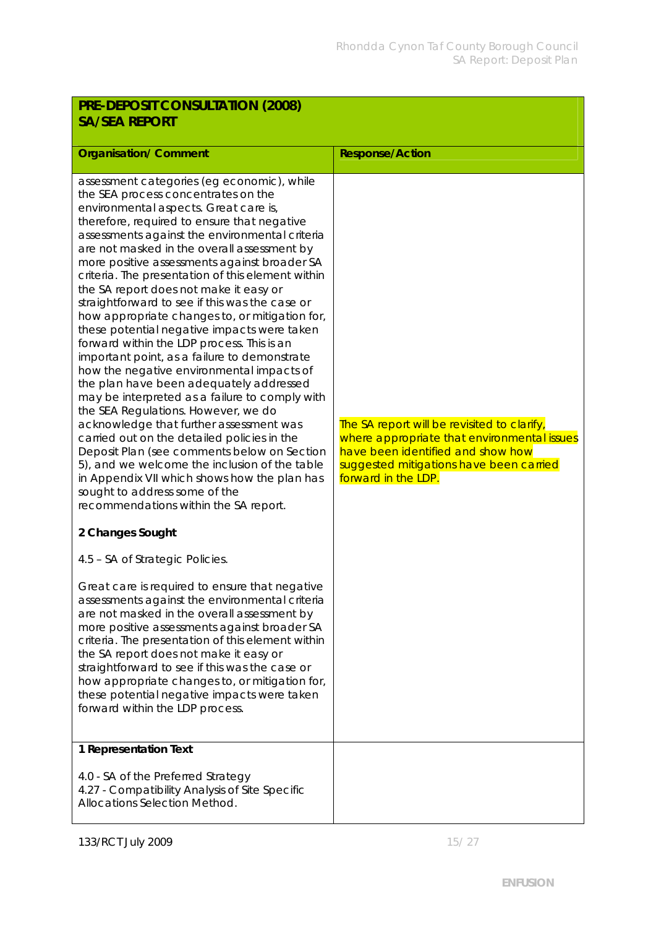| PRE-DEPOSIT CONSULTATION (2008)                                                                                                                                                                                                                                                                                                                                                                                                                                                                                                                                                                                                                                                                                                                                                                                                                                                                                                                                                                                                                                                                                                                                                                     |                                                                                                                                                                                                   |  |
|-----------------------------------------------------------------------------------------------------------------------------------------------------------------------------------------------------------------------------------------------------------------------------------------------------------------------------------------------------------------------------------------------------------------------------------------------------------------------------------------------------------------------------------------------------------------------------------------------------------------------------------------------------------------------------------------------------------------------------------------------------------------------------------------------------------------------------------------------------------------------------------------------------------------------------------------------------------------------------------------------------------------------------------------------------------------------------------------------------------------------------------------------------------------------------------------------------|---------------------------------------------------------------------------------------------------------------------------------------------------------------------------------------------------|--|
| <b>SA/SEA REPORT</b>                                                                                                                                                                                                                                                                                                                                                                                                                                                                                                                                                                                                                                                                                                                                                                                                                                                                                                                                                                                                                                                                                                                                                                                |                                                                                                                                                                                                   |  |
| <b>Organisation/ Comment</b>                                                                                                                                                                                                                                                                                                                                                                                                                                                                                                                                                                                                                                                                                                                                                                                                                                                                                                                                                                                                                                                                                                                                                                        | <b>Response/Action</b>                                                                                                                                                                            |  |
| assessment categories (eg economic), while<br>the SEA process concentrates on the<br>environmental aspects. Great care is,<br>therefore, required to ensure that negative<br>assessments against the environmental criteria<br>are not masked in the overall assessment by<br>more positive assessments against broader SA<br>criteria. The presentation of this element within<br>the SA report does not make it easy or<br>straightforward to see if this was the case or<br>how appropriate changes to, or mitigation for,<br>these potential negative impacts were taken<br>forward within the LDP process. This is an<br>important point, as a failure to demonstrate<br>how the negative environmental impacts of<br>the plan have been adequately addressed<br>may be interpreted as a failure to comply with<br>the SEA Regulations. However, we do<br>acknowledge that further assessment was<br>carried out on the detailed policies in the<br>Deposit Plan (see comments below on Section<br>5), and we welcome the inclusion of the table<br>in Appendix VII which shows how the plan has<br>sought to address some of the<br>recommendations within the SA report.<br>2 Changes Sought | The SA report will be revisited to clarify,<br>where appropriate that environmental issues<br>have been identified and show how<br>suggested mitigations have been carried<br>forward in the LDP. |  |
|                                                                                                                                                                                                                                                                                                                                                                                                                                                                                                                                                                                                                                                                                                                                                                                                                                                                                                                                                                                                                                                                                                                                                                                                     |                                                                                                                                                                                                   |  |
| 4.5 - SA of Strategic Policies.<br>Great care is required to ensure that negative<br>assessments against the environmental criteria<br>are not masked in the overall assessment by<br>more positive assessments against broader SA<br>criteria. The presentation of this element within<br>the SA report does not make it easy or<br>straightforward to see if this was the case or<br>how appropriate changes to, or mitigation for,<br>these potential negative impacts were taken<br>forward within the LDP process.                                                                                                                                                                                                                                                                                                                                                                                                                                                                                                                                                                                                                                                                             |                                                                                                                                                                                                   |  |
| 1 Representation Text<br>4.0 - SA of the Preferred Strategy<br>4.27 - Compatibility Analysis of Site Specific<br>Allocations Selection Method.                                                                                                                                                                                                                                                                                                                                                                                                                                                                                                                                                                                                                                                                                                                                                                                                                                                                                                                                                                                                                                                      |                                                                                                                                                                                                   |  |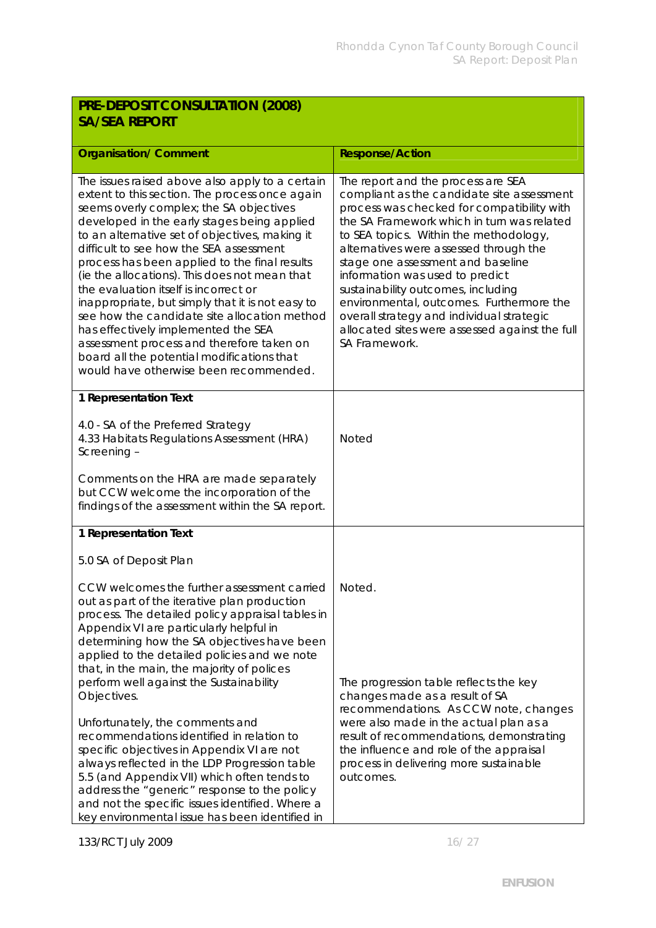## **PRE-DEPOSIT CONSULTATION (2008) SA/SEA REPORT**

| <b>Organisation/ Comment</b>                                                                                                                                                                                                                                                                                                                                                                                                                                                                                                                                                                                                                                                                                                                                                                                                            | <b>Response/Action</b>                                                                                                                                                                                                                                                                                                                                                                                                                                                                                                                     |
|-----------------------------------------------------------------------------------------------------------------------------------------------------------------------------------------------------------------------------------------------------------------------------------------------------------------------------------------------------------------------------------------------------------------------------------------------------------------------------------------------------------------------------------------------------------------------------------------------------------------------------------------------------------------------------------------------------------------------------------------------------------------------------------------------------------------------------------------|--------------------------------------------------------------------------------------------------------------------------------------------------------------------------------------------------------------------------------------------------------------------------------------------------------------------------------------------------------------------------------------------------------------------------------------------------------------------------------------------------------------------------------------------|
| The issues raised above also apply to a certain<br>extent to this section. The process once again<br>seems overly complex; the SA objectives<br>developed in the early stages being applied<br>to an alternative set of objectives, making it<br>difficult to see how the SEA assessment<br>process has been applied to the final results<br>(ie the allocations). This does not mean that<br>the evaluation itself is incorrect or<br>inappropriate, but simply that it is not easy to<br>see how the candidate site allocation method<br>has effectively implemented the SEA<br>assessment process and therefore taken on<br>board all the potential modifications that<br>would have otherwise been recommended.                                                                                                                     | The report and the process are SEA<br>compliant as the candidate site assessment<br>process was checked for compatibility with<br>the SA Framework which in turn was related<br>to SEA topics. Within the methodology,<br>alternatives were assessed through the<br>stage one assessment and baseline<br>information was used to predict<br>sustainability outcomes, including<br>environmental, outcomes. Furthermore the<br>overall strategy and individual strategic<br>allocated sites were assessed against the full<br>SA Framework. |
| 1 Representation Text<br>4.0 - SA of the Preferred Strategy<br>4.33 Habitats Regulations Assessment (HRA)<br>Screening -<br>Comments on the HRA are made separately<br>but CCW welcome the incorporation of the<br>findings of the assessment within the SA report.                                                                                                                                                                                                                                                                                                                                                                                                                                                                                                                                                                     | <b>Noted</b>                                                                                                                                                                                                                                                                                                                                                                                                                                                                                                                               |
| 1 Representation Text<br>5.0 SA of Deposit Plan<br>CCW welcomes the further assessment carried<br>out as part of the iterative plan production<br>process. The detailed policy appraisal tables in<br>Appendix VI are particularly helpful in<br>determining how the SA objectives have been<br>applied to the detailed policies and we note<br>that, in the main, the majority of polices<br>perform well against the Sustainability<br>Objectives.<br>Unfortunately, the comments and<br>recommendations identified in relation to<br>specific objectives in Appendix VI are not<br>always reflected in the LDP Progression table<br>5.5 (and Appendix VII) which often tends to<br>address the "generic" response to the policy<br>and not the specific issues identified. Where a<br>key environmental issue has been identified in | Noted.<br>The progression table reflects the key<br>changes made as a result of SA<br>recommendations. As CCW note, changes<br>were also made in the actual plan as a<br>result of recommendations, demonstrating<br>the influence and role of the appraisal<br>process in delivering more sustainable<br>outcomes.                                                                                                                                                                                                                        |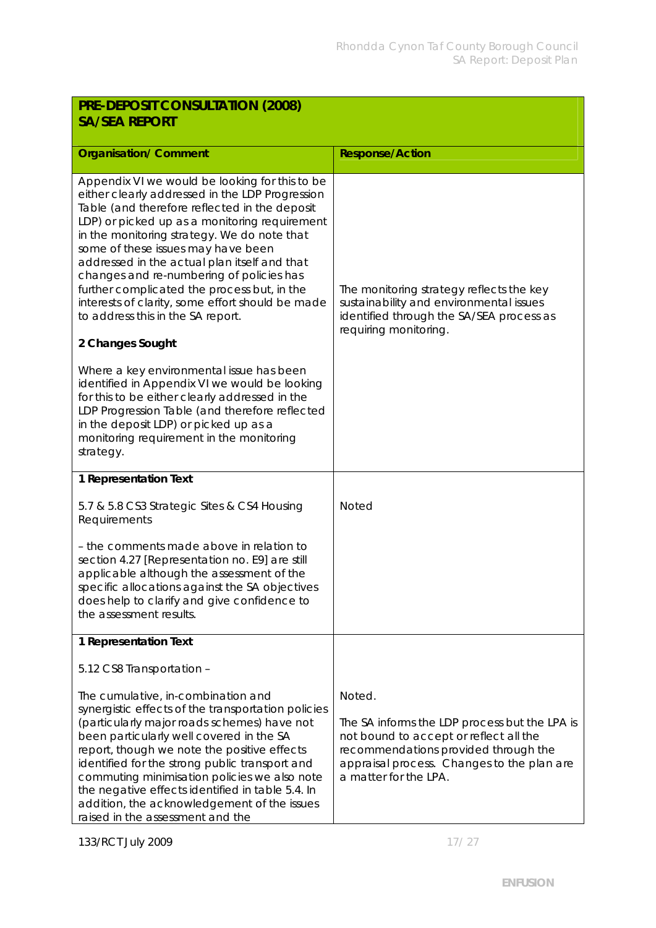| PRE-DEPOSIT CONSULTATION (2008)<br><b>SA/SEA REPORT</b>                                                                                                                                                                                                                                                                                                                                                                                                                                                                                          |                                                                                                                                                                                                                  |
|--------------------------------------------------------------------------------------------------------------------------------------------------------------------------------------------------------------------------------------------------------------------------------------------------------------------------------------------------------------------------------------------------------------------------------------------------------------------------------------------------------------------------------------------------|------------------------------------------------------------------------------------------------------------------------------------------------------------------------------------------------------------------|
| <b>Organisation/Comment</b>                                                                                                                                                                                                                                                                                                                                                                                                                                                                                                                      | Response/Action                                                                                                                                                                                                  |
| Appendix VI we would be looking for this to be<br>either clearly addressed in the LDP Progression<br>Table (and therefore reflected in the deposit<br>LDP) or picked up as a monitoring requirement<br>in the monitoring strategy. We do note that<br>some of these issues may have been<br>addressed in the actual plan itself and that<br>changes and re-numbering of policies has<br>further complicated the process but, in the<br>interests of clarity, some effort should be made<br>to address this in the SA report.<br>2 Changes Sought | The monitoring strategy reflects the key<br>sustainability and environmental issues<br>identified through the SA/SEA process as<br>requiring monitoring.                                                         |
| Where a key environmental issue has been<br>identified in Appendix VI we would be looking<br>for this to be either clearly addressed in the<br>LDP Progression Table (and therefore reflected<br>in the deposit LDP) or picked up as a<br>monitoring requirement in the monitoring<br>strategy.                                                                                                                                                                                                                                                  |                                                                                                                                                                                                                  |
| 1 Representation Text                                                                                                                                                                                                                                                                                                                                                                                                                                                                                                                            |                                                                                                                                                                                                                  |
| 5.7 & 5.8 CS3 Strategic Sites & CS4 Housing<br>Requirements                                                                                                                                                                                                                                                                                                                                                                                                                                                                                      | <b>Noted</b>                                                                                                                                                                                                     |
| - the comments made above in relation to<br>section 4.27 [Representation no. E9] are still<br>applicable although the assessment of the<br>specific allocations against the SA objectives<br>does help to clarify and give confidence to<br>the assessment results.                                                                                                                                                                                                                                                                              |                                                                                                                                                                                                                  |
| 1 Representation Text                                                                                                                                                                                                                                                                                                                                                                                                                                                                                                                            |                                                                                                                                                                                                                  |
| 5.12 CS8 Transportation -                                                                                                                                                                                                                                                                                                                                                                                                                                                                                                                        |                                                                                                                                                                                                                  |
| The cumulative, in-combination and<br>synergistic effects of the transportation policies<br>(particularly major roads schemes) have not<br>been particularly well covered in the SA<br>report, though we note the positive effects<br>identified for the strong public transport and<br>commuting minimisation policies we also note<br>the negative effects identified in table 5.4. In<br>addition, the acknowledgement of the issues<br>raised in the assessment and the                                                                      | Noted.<br>The SA informs the LDP process but the LPA is<br>not bound to accept or reflect all the<br>recommendations provided through the<br>appraisal process. Changes to the plan are<br>a matter for the LPA. |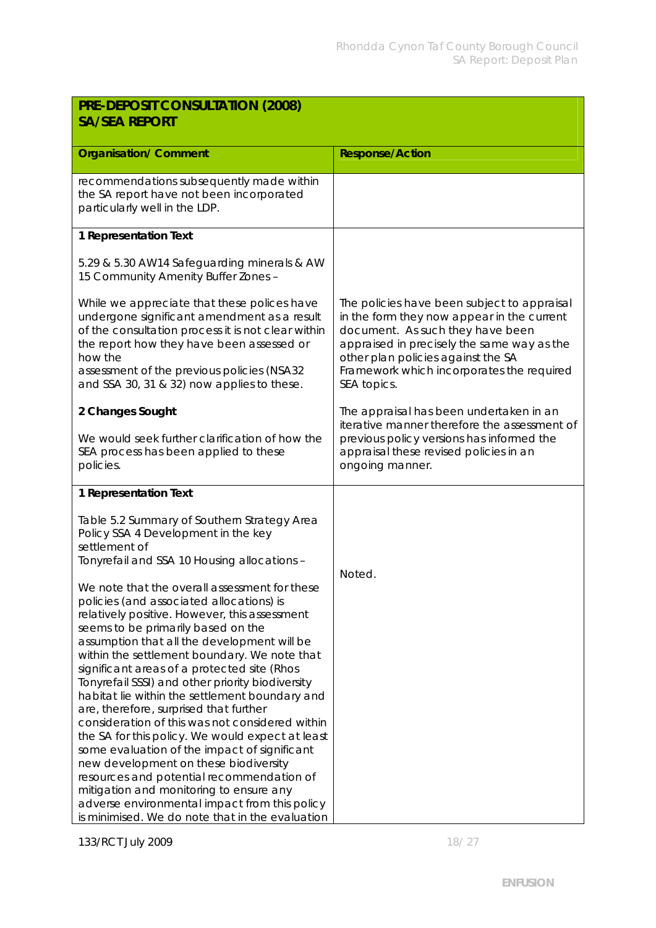| PRE-DEPOSIT CONSULTATION (2008)<br><b>SA/SEA REPORT</b>                                                                                                                                                                                                                                                                                                                                                                                                                                                                                                                                                                                                                                                                                                                                                                                                                    |                                                                                                                                                                                                                                                                               |
|----------------------------------------------------------------------------------------------------------------------------------------------------------------------------------------------------------------------------------------------------------------------------------------------------------------------------------------------------------------------------------------------------------------------------------------------------------------------------------------------------------------------------------------------------------------------------------------------------------------------------------------------------------------------------------------------------------------------------------------------------------------------------------------------------------------------------------------------------------------------------|-------------------------------------------------------------------------------------------------------------------------------------------------------------------------------------------------------------------------------------------------------------------------------|
| <b>Organisation/ Comment</b>                                                                                                                                                                                                                                                                                                                                                                                                                                                                                                                                                                                                                                                                                                                                                                                                                                               | <b>Response/Action</b>                                                                                                                                                                                                                                                        |
| recommendations subsequently made within<br>the SA report have not been incorporated<br>particularly well in the LDP.                                                                                                                                                                                                                                                                                                                                                                                                                                                                                                                                                                                                                                                                                                                                                      |                                                                                                                                                                                                                                                                               |
| 1 Representation Text                                                                                                                                                                                                                                                                                                                                                                                                                                                                                                                                                                                                                                                                                                                                                                                                                                                      |                                                                                                                                                                                                                                                                               |
| 5.29 & 5.30 AW14 Safeguarding minerals & AW<br>15 Community Amenity Buffer Zones -                                                                                                                                                                                                                                                                                                                                                                                                                                                                                                                                                                                                                                                                                                                                                                                         |                                                                                                                                                                                                                                                                               |
| While we appreciate that these polices have<br>undergone significant amendment as a result<br>of the consultation process it is not clear within<br>the report how they have been assessed or<br>how the<br>assessment of the previous policies (NSA32<br>and SSA 30, 31 & 32) now applies to these.                                                                                                                                                                                                                                                                                                                                                                                                                                                                                                                                                                       | The policies have been subject to appraisal<br>in the form they now appear in the current<br>document. As such they have been<br>appraised in precisely the same way as the<br>other plan policies against the SA<br>Framework which incorporates the required<br>SEA topics. |
| 2 Changes Sought                                                                                                                                                                                                                                                                                                                                                                                                                                                                                                                                                                                                                                                                                                                                                                                                                                                           | The appraisal has been undertaken in an<br>iterative manner therefore the assessment of                                                                                                                                                                                       |
| We would seek further clarification of how the<br>SEA process has been applied to these<br>policies.                                                                                                                                                                                                                                                                                                                                                                                                                                                                                                                                                                                                                                                                                                                                                                       | previous policy versions has informed the<br>appraisal these revised policies in an<br>ongoing manner.                                                                                                                                                                        |
| 1 Representation Text                                                                                                                                                                                                                                                                                                                                                                                                                                                                                                                                                                                                                                                                                                                                                                                                                                                      |                                                                                                                                                                                                                                                                               |
| Table 5.2 Summary of Southern Strategy Area<br>Policy SSA 4 Development in the key<br>settlement of<br>Tonyrefail and SSA 10 Housing allocations -                                                                                                                                                                                                                                                                                                                                                                                                                                                                                                                                                                                                                                                                                                                         | Noted.                                                                                                                                                                                                                                                                        |
| We note that the overall assessment for these<br>policies (and associated allocations) is<br>relatively positive. However, this assessment<br>seems to be primarily based on the<br>assumption that all the development will be<br>within the settlement boundary. We note that<br>significant areas of a protected site (Rhos<br>Tonyrefail SSSI) and other priority biodiversity<br>habitat lie within the settlement boundary and<br>are, therefore, surprised that further<br>consideration of this was not considered within<br>the SA for this policy. We would expect at least<br>some evaluation of the impact of significant<br>new development on these biodiversity<br>resources and potential recommendation of<br>mitigation and monitoring to ensure any<br>adverse environmental impact from this policy<br>is minimised. We do note that in the evaluation |                                                                                                                                                                                                                                                                               |

133/RCT July 2009 18/27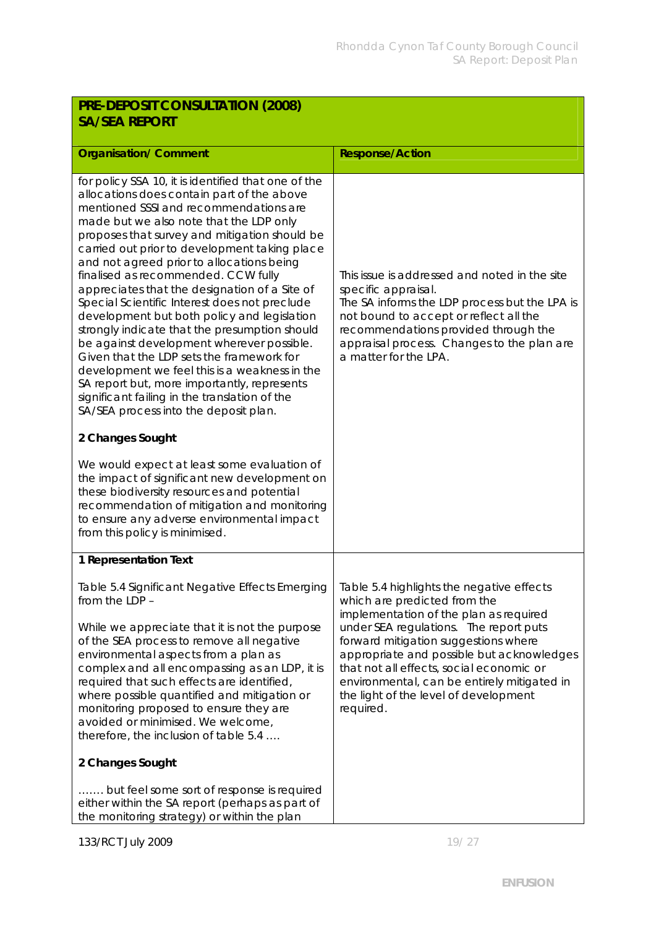| PRE-DEPOSIT CONSULTATION (2008)<br><b>SA/SEA REPORT</b>                                                                                                                                                                                                                                                                                                                                                                                                                                                                                                                                                                                                                                                                                                                                                                                                            |                                                                                                                                                                                                                                                                                                                                                                                                     |
|--------------------------------------------------------------------------------------------------------------------------------------------------------------------------------------------------------------------------------------------------------------------------------------------------------------------------------------------------------------------------------------------------------------------------------------------------------------------------------------------------------------------------------------------------------------------------------------------------------------------------------------------------------------------------------------------------------------------------------------------------------------------------------------------------------------------------------------------------------------------|-----------------------------------------------------------------------------------------------------------------------------------------------------------------------------------------------------------------------------------------------------------------------------------------------------------------------------------------------------------------------------------------------------|
| <b>Organisation/ Comment</b>                                                                                                                                                                                                                                                                                                                                                                                                                                                                                                                                                                                                                                                                                                                                                                                                                                       | <b>Response/Action</b>                                                                                                                                                                                                                                                                                                                                                                              |
| for policy SSA 10, it is identified that one of the<br>allocations does contain part of the above<br>mentioned SSSI and recommendations are<br>made but we also note that the LDP only<br>proposes that survey and mitigation should be<br>carried out prior to development taking place<br>and not agreed prior to allocations being<br>finalised as recommended. CCW fully<br>appreciates that the designation of a Site of<br>Special Scientific Interest does not preclude<br>development but both policy and legislation<br>strongly indicate that the presumption should<br>be against development wherever possible.<br>Given that the LDP sets the framework for<br>development we feel this is a weakness in the<br>SA report but, more importantly, represents<br>significant failing in the translation of the<br>SA/SEA process into the deposit plan. | This issue is addressed and noted in the site<br>specific appraisal.<br>The SA informs the LDP process but the LPA is<br>not bound to accept or reflect all the<br>recommendations provided through the<br>appraisal process. Changes to the plan are<br>a matter for the LPA.                                                                                                                      |
| 2 Changes Sought                                                                                                                                                                                                                                                                                                                                                                                                                                                                                                                                                                                                                                                                                                                                                                                                                                                   |                                                                                                                                                                                                                                                                                                                                                                                                     |
| We would expect at least some evaluation of<br>the impact of significant new development on<br>these biodiversity resources and potential<br>recommendation of mitigation and monitoring<br>to ensure any adverse environmental impact<br>from this policy is minimised.                                                                                                                                                                                                                                                                                                                                                                                                                                                                                                                                                                                           |                                                                                                                                                                                                                                                                                                                                                                                                     |
| 1 Representation Text                                                                                                                                                                                                                                                                                                                                                                                                                                                                                                                                                                                                                                                                                                                                                                                                                                              |                                                                                                                                                                                                                                                                                                                                                                                                     |
| Table 5.4 Significant Negative Effects Emerging<br>from the LDP -<br>While we appreciate that it is not the purpose<br>of the SEA process to remove all negative<br>environmental aspects from a plan as<br>complex and all encompassing as an LDP, it is<br>required that such effects are identified,<br>where possible quantified and mitigation or<br>monitoring proposed to ensure they are<br>avoided or minimised. We welcome,<br>therefore, the inclusion of table 5.4<br>2 Changes Sought<br>but feel some sort of response is required<br>either within the SA report (perhaps as part of                                                                                                                                                                                                                                                                | Table 5.4 highlights the negative effects<br>which are predicted from the<br>implementation of the plan as required<br>under SEA regulations. The report puts<br>forward mitigation suggestions where<br>appropriate and possible but acknowledges<br>that not all effects, social economic or<br>environmental, can be entirely mitigated in<br>the light of the level of development<br>required. |
| the monitoring strategy) or within the plan                                                                                                                                                                                                                                                                                                                                                                                                                                                                                                                                                                                                                                                                                                                                                                                                                        |                                                                                                                                                                                                                                                                                                                                                                                                     |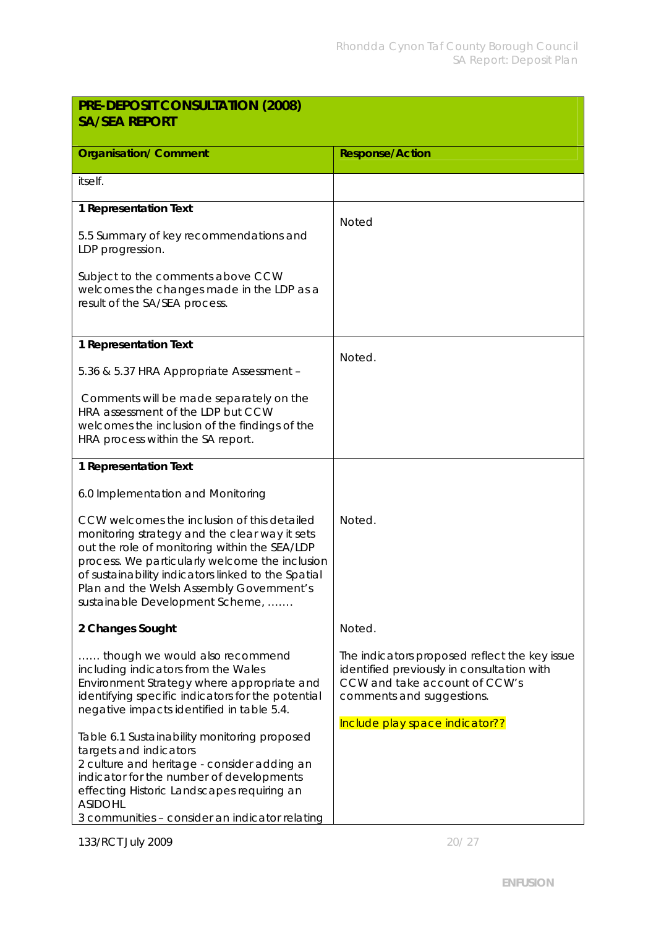| <b>Response/Action</b>                                                                                                                                                                      |
|---------------------------------------------------------------------------------------------------------------------------------------------------------------------------------------------|
|                                                                                                                                                                                             |
|                                                                                                                                                                                             |
| <b>Noted</b>                                                                                                                                                                                |
|                                                                                                                                                                                             |
|                                                                                                                                                                                             |
| Noted.                                                                                                                                                                                      |
|                                                                                                                                                                                             |
|                                                                                                                                                                                             |
|                                                                                                                                                                                             |
|                                                                                                                                                                                             |
| Noted.                                                                                                                                                                                      |
| Noted.                                                                                                                                                                                      |
| The indicators proposed reflect the key issue<br>identified previously in consultation with<br>CCW and take account of CCW's<br>comments and suggestions.<br>Include play space indicator?? |
|                                                                                                                                                                                             |
|                                                                                                                                                                                             |

133/RCT July 2009 20/ 27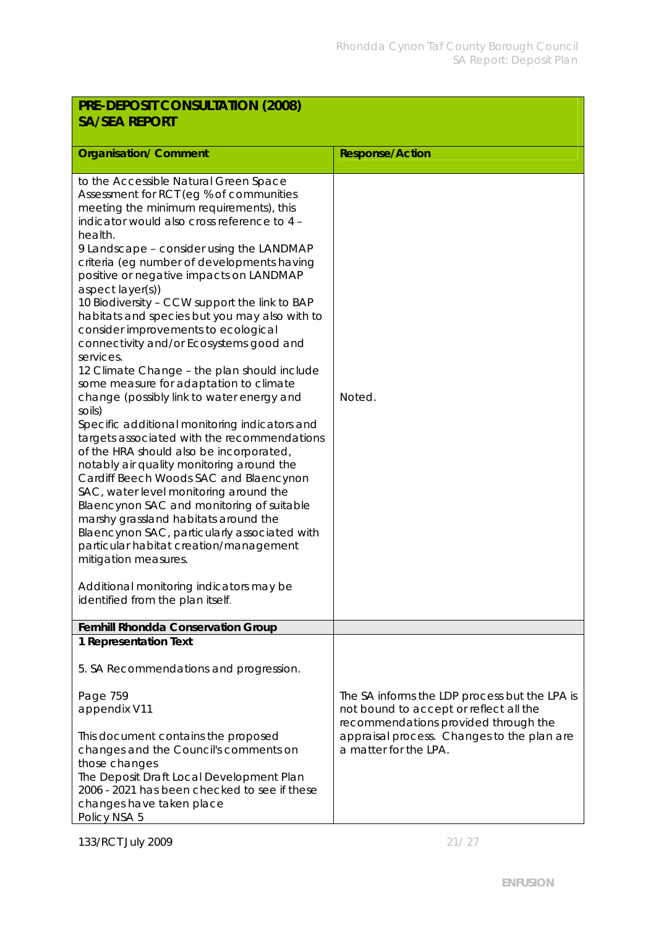| PRE-DEPOSIT CONSULTATION (2008)                                                                                                                                                                                                                                                                                                                                                                                                                                                                                                                                                                                                                                                                                                                                                                                                                                                                                                                                                                                                                                                                                                                                                                                                                                   |                                                                                                                                                                                                        |  |
|-------------------------------------------------------------------------------------------------------------------------------------------------------------------------------------------------------------------------------------------------------------------------------------------------------------------------------------------------------------------------------------------------------------------------------------------------------------------------------------------------------------------------------------------------------------------------------------------------------------------------------------------------------------------------------------------------------------------------------------------------------------------------------------------------------------------------------------------------------------------------------------------------------------------------------------------------------------------------------------------------------------------------------------------------------------------------------------------------------------------------------------------------------------------------------------------------------------------------------------------------------------------|--------------------------------------------------------------------------------------------------------------------------------------------------------------------------------------------------------|--|
| <b>SA/SEA REPORT</b>                                                                                                                                                                                                                                                                                                                                                                                                                                                                                                                                                                                                                                                                                                                                                                                                                                                                                                                                                                                                                                                                                                                                                                                                                                              |                                                                                                                                                                                                        |  |
|                                                                                                                                                                                                                                                                                                                                                                                                                                                                                                                                                                                                                                                                                                                                                                                                                                                                                                                                                                                                                                                                                                                                                                                                                                                                   |                                                                                                                                                                                                        |  |
| <b>Organisation/ Comment</b>                                                                                                                                                                                                                                                                                                                                                                                                                                                                                                                                                                                                                                                                                                                                                                                                                                                                                                                                                                                                                                                                                                                                                                                                                                      | <b>Response/Action</b>                                                                                                                                                                                 |  |
| to the Accessible Natural Green Space<br>Assessment for RCT (eg % of communities<br>meeting the minimum requirements), this<br>indicator would also cross reference to 4 -<br>health.<br>9 Landscape - consider using the LANDMAP<br>criteria (eg number of developments having<br>positive or negative impacts on LANDMAP<br>aspect layer(s))<br>10 Biodiversity - CCW support the link to BAP<br>habitats and species but you may also with to<br>consider improvements to ecological<br>connectivity and/or Ecosystems good and<br>services.<br>12 Climate Change - the plan should include<br>some measure for adaptation to climate<br>change (possibly link to water energy and<br>soils)<br>Specific additional monitoring indicators and<br>targets associated with the recommendations<br>of the HRA should also be incorporated,<br>notably air quality monitoring around the<br>Cardiff Beech Woods SAC and Blaencynon<br>SAC, water level monitoring around the<br>Blaencynon SAC and monitoring of suitable<br>marshy grassland habitats around the<br>Blaencynon SAC, particularly associated with<br>particular habitat creation/management<br>mitigation measures.<br>Additional monitoring indicators may be<br>identified from the plan itself. | Noted.                                                                                                                                                                                                 |  |
| Fernhill Rhondda Conservation Group                                                                                                                                                                                                                                                                                                                                                                                                                                                                                                                                                                                                                                                                                                                                                                                                                                                                                                                                                                                                                                                                                                                                                                                                                               |                                                                                                                                                                                                        |  |
| 1 Representation Text<br>5. SA Recommendations and progression.                                                                                                                                                                                                                                                                                                                                                                                                                                                                                                                                                                                                                                                                                                                                                                                                                                                                                                                                                                                                                                                                                                                                                                                                   |                                                                                                                                                                                                        |  |
| Page 759<br>appendix V11<br>This document contains the proposed<br>changes and the Council's comments on<br>those changes<br>The Deposit Draft Local Development Plan<br>2006 - 2021 has been checked to see if these<br>changes have taken place                                                                                                                                                                                                                                                                                                                                                                                                                                                                                                                                                                                                                                                                                                                                                                                                                                                                                                                                                                                                                 | The SA informs the LDP process but the LPA is<br>not bound to accept or reflect all the<br>recommendations provided through the<br>appraisal process. Changes to the plan are<br>a matter for the LPA. |  |
| Policy NSA 5                                                                                                                                                                                                                                                                                                                                                                                                                                                                                                                                                                                                                                                                                                                                                                                                                                                                                                                                                                                                                                                                                                                                                                                                                                                      |                                                                                                                                                                                                        |  |

133/RCT July 2009 21/27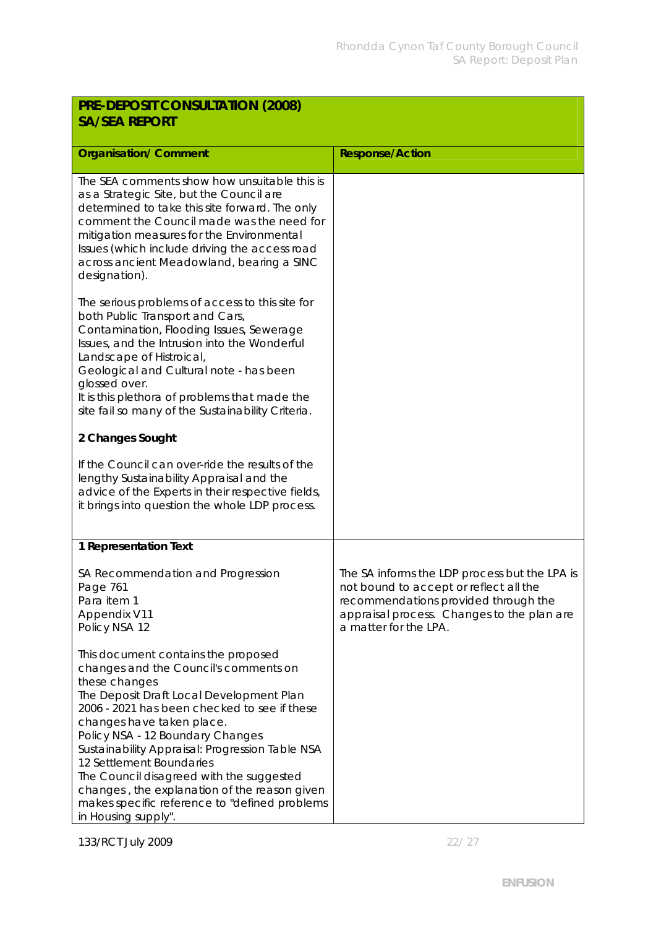| PRE-DEPOSIT CONSULTATION (2008)<br><b>SA/SEA REPORT</b>                                                                                                                                                                                                                                                                                                                                                                                                                                                       |                                                                                                                                                                                                        |
|---------------------------------------------------------------------------------------------------------------------------------------------------------------------------------------------------------------------------------------------------------------------------------------------------------------------------------------------------------------------------------------------------------------------------------------------------------------------------------------------------------------|--------------------------------------------------------------------------------------------------------------------------------------------------------------------------------------------------------|
| <b>Organisation/ Comment</b>                                                                                                                                                                                                                                                                                                                                                                                                                                                                                  | <b>Response/Action</b>                                                                                                                                                                                 |
| The SEA comments show how unsuitable this is<br>as a Strategic Site, but the Council are<br>determined to take this site forward. The only<br>comment the Council made was the need for<br>mitigation measures for the Environmental<br>Issues (which include driving the access road<br>across ancient Meadowland, bearing a SINC<br>designation).                                                                                                                                                           |                                                                                                                                                                                                        |
| The serious problems of access to this site for<br>both Public Transport and Cars,<br>Contamination, Flooding Issues, Sewerage<br>Issues, and the Intrusion into the Wonderful<br>Landscape of Histroical,<br>Geological and Cultural note - has been<br>glossed over.<br>It is this plethora of problems that made the<br>site fail so many of the Sustainability Criteria.                                                                                                                                  |                                                                                                                                                                                                        |
| 2 Changes Sought                                                                                                                                                                                                                                                                                                                                                                                                                                                                                              |                                                                                                                                                                                                        |
| If the Council can over-ride the results of the<br>lengthy Sustainability Appraisal and the<br>advice of the Experts in their respective fields,<br>it brings into question the whole LDP process.                                                                                                                                                                                                                                                                                                            |                                                                                                                                                                                                        |
| 1 Representation Text                                                                                                                                                                                                                                                                                                                                                                                                                                                                                         |                                                                                                                                                                                                        |
| SA Recommendation and Progression<br>Page 761<br>Para item 1<br>Appendix V11<br>Policy NSA 12                                                                                                                                                                                                                                                                                                                                                                                                                 | The SA informs the LDP process but the LPA is<br>not bound to accept or reflect all the<br>recommendations provided through the<br>appraisal process. Changes to the plan are<br>a matter for the LPA. |
| This document contains the proposed<br>changes and the Council's comments on<br>these changes<br>The Deposit Draft Local Development Plan<br>2006 - 2021 has been checked to see if these<br>changes have taken place.<br>Policy NSA - 12 Boundary Changes<br>Sustainability Appraisal: Progression Table NSA<br>12 Settlement Boundaries<br>The Council disagreed with the suggested<br>changes, the explanation of the reason given<br>makes specific reference to "defined problems<br>in Housing supply". |                                                                                                                                                                                                        |

133/RCT July 2009 22/ 27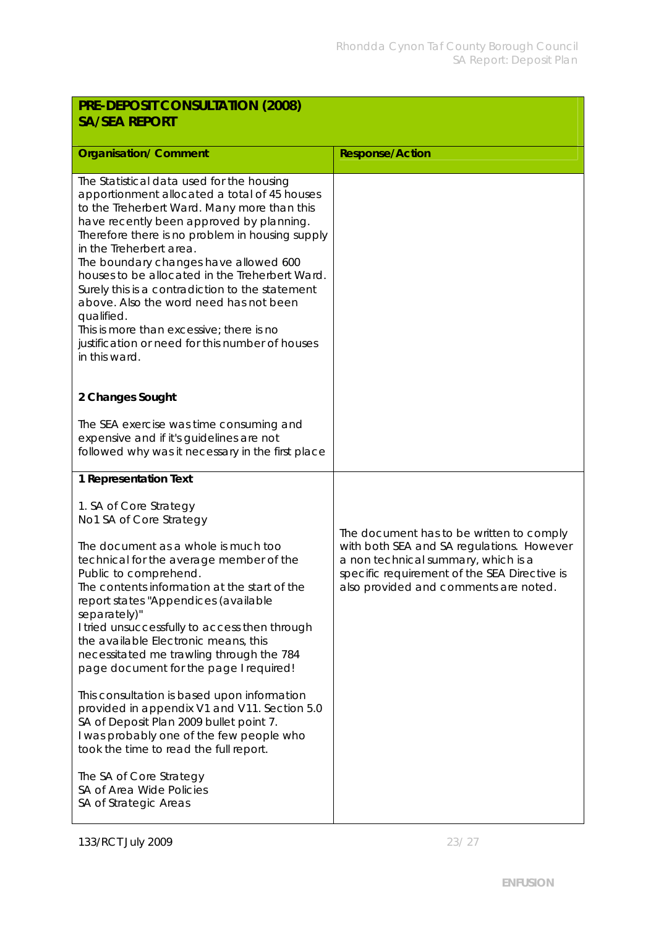| PRE-DEPOSIT CONSULTATION (2008)<br><b>SA/SEA REPORT</b>                                                                                                                                                                                                                                                                                                                                                                                                                                                                                                                                                                                                                                                                                    |                                                                                                                                                                                                                       |
|--------------------------------------------------------------------------------------------------------------------------------------------------------------------------------------------------------------------------------------------------------------------------------------------------------------------------------------------------------------------------------------------------------------------------------------------------------------------------------------------------------------------------------------------------------------------------------------------------------------------------------------------------------------------------------------------------------------------------------------------|-----------------------------------------------------------------------------------------------------------------------------------------------------------------------------------------------------------------------|
| <b>Organisation/ Comment</b>                                                                                                                                                                                                                                                                                                                                                                                                                                                                                                                                                                                                                                                                                                               | <b>Response/Action</b>                                                                                                                                                                                                |
| The Statistical data used for the housing<br>apportionment allocated a total of 45 houses<br>to the Treherbert Ward. Many more than this<br>have recently been approved by planning.<br>Therefore there is no problem in housing supply<br>in the Treherbert area.<br>The boundary changes have allowed 600<br>houses to be allocated in the Treherbert Ward.<br>Surely this is a contradiction to the statement<br>above. Also the word need has not been<br>qualified.<br>This is more than excessive; there is no<br>justification or need for this number of houses<br>in this ward.                                                                                                                                                   |                                                                                                                                                                                                                       |
| 2 Changes Sought                                                                                                                                                                                                                                                                                                                                                                                                                                                                                                                                                                                                                                                                                                                           |                                                                                                                                                                                                                       |
| The SEA exercise was time consuming and<br>expensive and if it's guidelines are not<br>followed why was it necessary in the first place                                                                                                                                                                                                                                                                                                                                                                                                                                                                                                                                                                                                    |                                                                                                                                                                                                                       |
| 1 Representation Text                                                                                                                                                                                                                                                                                                                                                                                                                                                                                                                                                                                                                                                                                                                      |                                                                                                                                                                                                                       |
| 1. SA of Core Strategy<br>No1 SA of Core Strategy<br>The document as a whole is much too<br>technical for the average member of the<br>Public to comprehend.<br>The contents information at the start of the<br>report states "Appendices (available<br>separately)"<br>I tried unsuccessfully to access then through<br>the available Electronic means, this<br>necessitated me trawling through the 784<br>page document for the page I required!<br>This consultation is based upon information<br>provided in appendix V1 and V11. Section 5.0<br>SA of Deposit Plan 2009 bullet point 7.<br>I was probably one of the few people who<br>took the time to read the full report.<br>The SA of Core Strategy<br>SA of Area Wide Policies | The document has to be written to comply<br>with both SEA and SA regulations. However<br>a non technical summary, which is a<br>specific requirement of the SEA Directive is<br>also provided and comments are noted. |
| SA of Strategic Areas                                                                                                                                                                                                                                                                                                                                                                                                                                                                                                                                                                                                                                                                                                                      |                                                                                                                                                                                                                       |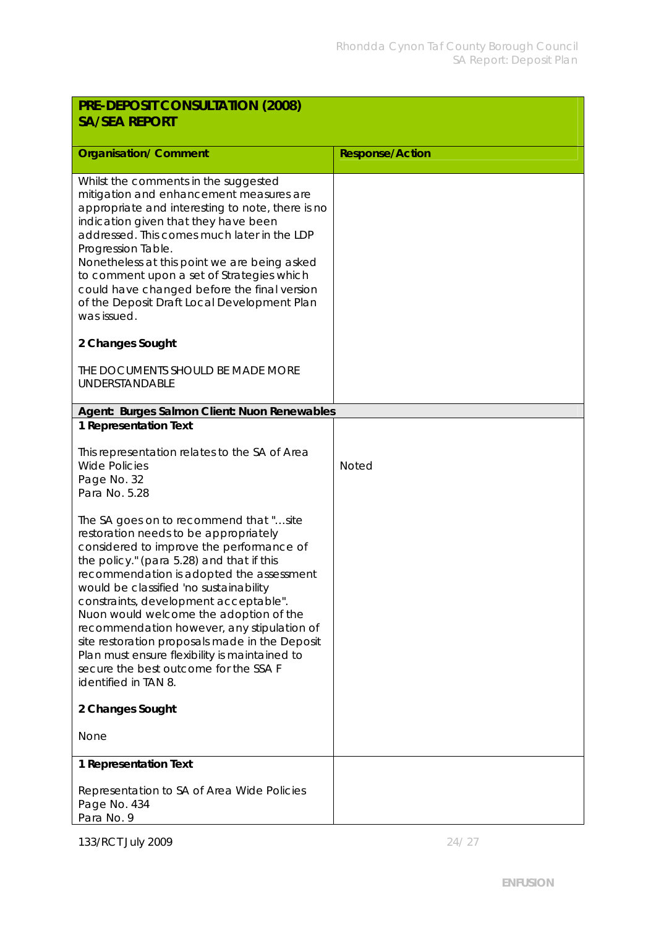| PRE-DEPOSIT CONSULTATION (2008)<br><b>SA/SEA REPORT</b>                                                                                                                                                                                                                                                                                                                                                                                                                                                                                                             |                        |
|---------------------------------------------------------------------------------------------------------------------------------------------------------------------------------------------------------------------------------------------------------------------------------------------------------------------------------------------------------------------------------------------------------------------------------------------------------------------------------------------------------------------------------------------------------------------|------------------------|
| <b>Organisation/ Comment</b>                                                                                                                                                                                                                                                                                                                                                                                                                                                                                                                                        | <b>Response/Action</b> |
| Whilst the comments in the suggested<br>mitigation and enhancement measures are<br>appropriate and interesting to note, there is no<br>indication given that they have been<br>addressed. This comes much later in the LDP<br>Progression Table.<br>Nonetheless at this point we are being asked<br>to comment upon a set of Strategies which<br>could have changed before the final version<br>of the Deposit Draft Local Development Plan<br>was issued.                                                                                                          |                        |
| 2 Changes Sought                                                                                                                                                                                                                                                                                                                                                                                                                                                                                                                                                    |                        |
| THE DOCUMENTS SHOULD BE MADE MORE<br>UNDERSTANDABLE                                                                                                                                                                                                                                                                                                                                                                                                                                                                                                                 |                        |
| Agent: Burges Salmon Client: Nuon Renewables                                                                                                                                                                                                                                                                                                                                                                                                                                                                                                                        |                        |
| 1 Representation Text                                                                                                                                                                                                                                                                                                                                                                                                                                                                                                                                               |                        |
| This representation relates to the SA of Area<br><b>Wide Policies</b><br>Page No. 32<br>Para No. 5.28                                                                                                                                                                                                                                                                                                                                                                                                                                                               | <b>Noted</b>           |
| The SA goes on to recommend that "site<br>restoration needs to be appropriately<br>considered to improve the performance of<br>the policy." (para 5.28) and that if this<br>recommendation is adopted the assessment<br>would be classified 'no sustainability<br>constraints, development acceptable".<br>Nuon would welcome the adoption of the<br>recommendation however, any stipulation of<br>site restoration proposals made in the Deposit<br>Plan must ensure flexibility is maintained to<br>secure the best outcome for the SSA F<br>identified in TAN 8. |                        |
| 2 Changes Sought                                                                                                                                                                                                                                                                                                                                                                                                                                                                                                                                                    |                        |
| None                                                                                                                                                                                                                                                                                                                                                                                                                                                                                                                                                                |                        |
| 1 Representation Text                                                                                                                                                                                                                                                                                                                                                                                                                                                                                                                                               |                        |
| Representation to SA of Area Wide Policies<br>Page No. 434<br>Para No. 9                                                                                                                                                                                                                                                                                                                                                                                                                                                                                            |                        |

133/RCT July 2009 24/ 27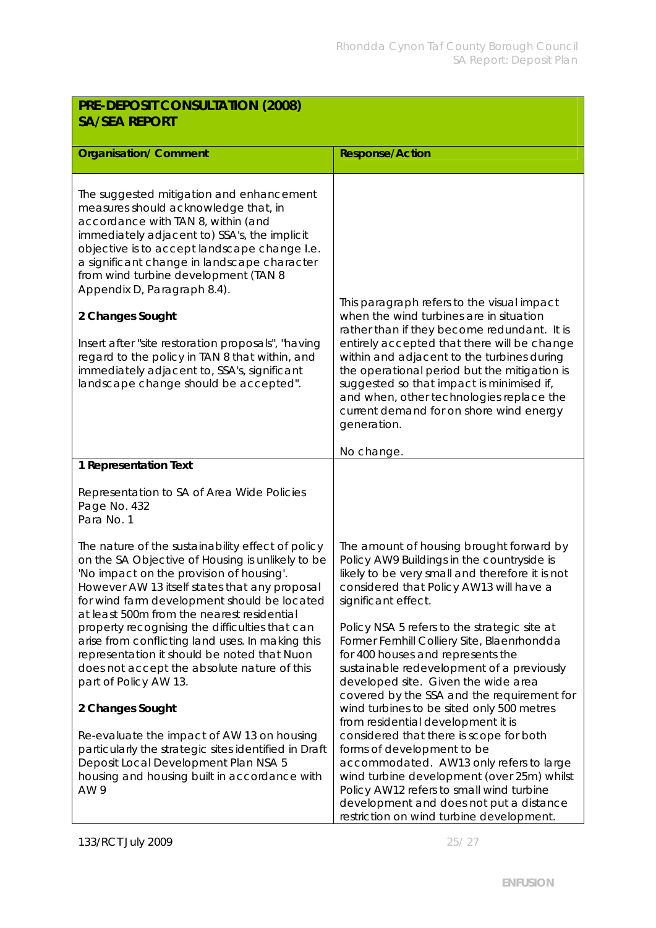| PRE-DEPOSIT CONSULTATION (2008)<br><b>SA/SEA REPORT</b>                                                                                                                                                                                                                                                                                                                                                                                                                                                                                                          |                                                                                                                                                                                                                                                                                                                                                                                                                                      |
|------------------------------------------------------------------------------------------------------------------------------------------------------------------------------------------------------------------------------------------------------------------------------------------------------------------------------------------------------------------------------------------------------------------------------------------------------------------------------------------------------------------------------------------------------------------|--------------------------------------------------------------------------------------------------------------------------------------------------------------------------------------------------------------------------------------------------------------------------------------------------------------------------------------------------------------------------------------------------------------------------------------|
| <b>Organisation/ Comment</b>                                                                                                                                                                                                                                                                                                                                                                                                                                                                                                                                     | <b>Response/Action</b>                                                                                                                                                                                                                                                                                                                                                                                                               |
| The suggested mitigation and enhancement<br>measures should acknowledge that, in<br>accordance with TAN 8, within (and<br>immediately adjacent to) SSA's, the implicit<br>objective is to accept landscape change I.e.<br>a significant change in landscape character<br>from wind turbine development (TAN 8<br>Appendix D, Paragraph 8.4).<br>2 Changes Sought<br>Insert after "site restoration proposals", "having<br>regard to the policy in TAN 8 that within, and<br>immediately adjacent to, SSA's, significant<br>landscape change should be accepted". | This paragraph refers to the visual impact<br>when the wind turbines are in situation<br>rather than if they become redundant. It is<br>entirely accepted that there will be change<br>within and adjacent to the turbines during<br>the operational period but the mitigation is<br>suggested so that impact is minimised if,<br>and when, other technologies replace the<br>current demand for on shore wind energy<br>generation. |
| 1 Representation Text                                                                                                                                                                                                                                                                                                                                                                                                                                                                                                                                            | No change.                                                                                                                                                                                                                                                                                                                                                                                                                           |
| Representation to SA of Area Wide Policies<br>Page No. 432<br>Para No. 1                                                                                                                                                                                                                                                                                                                                                                                                                                                                                         |                                                                                                                                                                                                                                                                                                                                                                                                                                      |
| The nature of the sustainability effect of policy<br>on the SA Objective of Housing is unlikely to be<br>'No impact on the provision of housing'.<br>However AW 13 itself states that any proposal<br>for wind farm development should be located<br>at least 500m from the nearest residential                                                                                                                                                                                                                                                                  | The amount of housing brought forward by<br>Policy AW9 Buildings in the countryside is<br>likely to be very small and therefore it is not<br>considered that Policy AW13 will have a<br>significant effect.                                                                                                                                                                                                                          |
| property recognising the difficulties that can<br>arise from conflicting land uses. In making this<br>representation it should be noted that Nuon<br>does not accept the absolute nature of this<br>part of Policy AW 13.                                                                                                                                                                                                                                                                                                                                        | Policy NSA 5 refers to the strategic site at<br>Former Fernhill Colliery Site, Blaenrhondda<br>for 400 houses and represents the<br>sustainable redevelopment of a previously<br>developed site. Given the wide area<br>covered by the SSA and the requirement for                                                                                                                                                                   |
| 2 Changes Sought                                                                                                                                                                                                                                                                                                                                                                                                                                                                                                                                                 | wind turbines to be sited only 500 metres<br>from residential development it is                                                                                                                                                                                                                                                                                                                                                      |
| Re-evaluate the impact of AW 13 on housing<br>particularly the strategic sites identified in Draft<br>Deposit Local Development Plan NSA 5<br>housing and housing built in accordance with<br>AW 9                                                                                                                                                                                                                                                                                                                                                               | considered that there is scope for both<br>forms of development to be<br>accommodated. AW13 only refers to large<br>wind turbine development (over 25m) whilst<br>Policy AW12 refers to small wind turbine<br>development and does not put a distance<br>restriction on wind turbine development.                                                                                                                                    |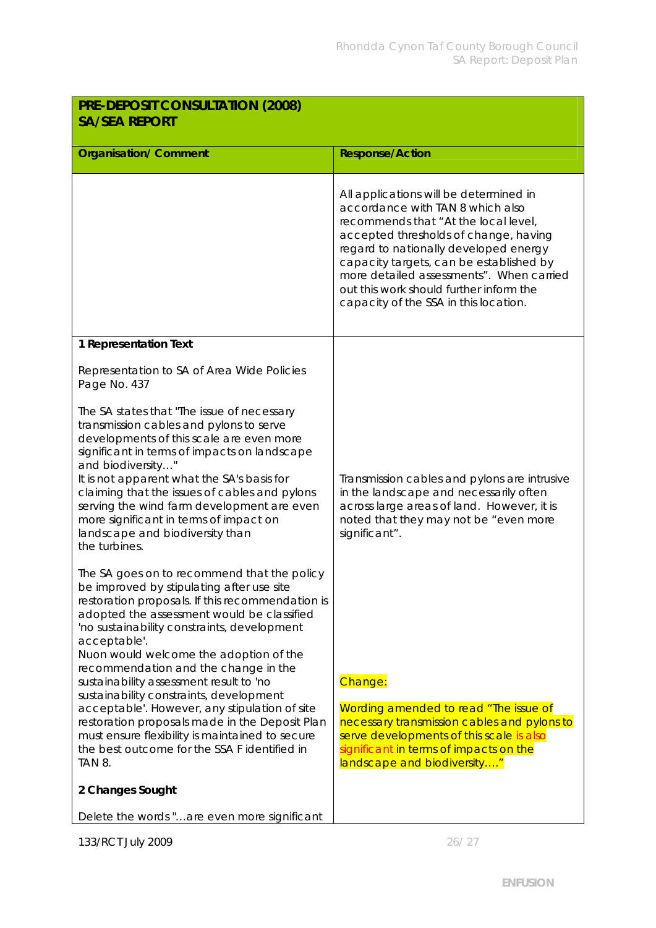| PRE-DEPOSIT CONSULTATION (2008)<br><b>SA/SEA REPORT</b>                                                                                                                                                                                                                                                                                                                                                                                           |                                                                                                                                                                                                                                                                                                                                                                                 |  |
|---------------------------------------------------------------------------------------------------------------------------------------------------------------------------------------------------------------------------------------------------------------------------------------------------------------------------------------------------------------------------------------------------------------------------------------------------|---------------------------------------------------------------------------------------------------------------------------------------------------------------------------------------------------------------------------------------------------------------------------------------------------------------------------------------------------------------------------------|--|
| <b>Organisation/ Comment</b>                                                                                                                                                                                                                                                                                                                                                                                                                      | <b>Response/Action</b>                                                                                                                                                                                                                                                                                                                                                          |  |
|                                                                                                                                                                                                                                                                                                                                                                                                                                                   | All applications will be determined in<br>accordance with TAN 8 which also<br>recommends that "At the local level,<br>accepted thresholds of change, having<br>regard to nationally developed energy<br>capacity targets, can be established by<br>more detailed assessments". When carried<br>out this work should further inform the<br>capacity of the SSA in this location. |  |
| 1 Representation Text                                                                                                                                                                                                                                                                                                                                                                                                                             |                                                                                                                                                                                                                                                                                                                                                                                 |  |
| Representation to SA of Area Wide Policies<br>Page No. 437                                                                                                                                                                                                                                                                                                                                                                                        |                                                                                                                                                                                                                                                                                                                                                                                 |  |
| The SA states that "The issue of necessary<br>transmission cables and pylons to serve<br>developments of this scale are even more<br>significant in terms of impacts on landscape<br>and biodiversity"<br>It is not apparent what the SA's basis for<br>claiming that the issues of cables and pylons<br>serving the wind farm development are even<br>more significant in terms of impact on<br>landscape and biodiversity than<br>the turbines. | Transmission cables and pylons are intrusive<br>in the landscape and necessarily often<br>across large areas of land. However, it is<br>noted that they may not be "even more<br>significant".                                                                                                                                                                                  |  |
| The SA goes on to recommend that the policy<br>be improved by stipulating after use site<br>restoration proposals. If this recommendation is<br>adopted the assessment would be classified<br>'no sustainability constraints, development<br>acceptable'.<br>Nuon would welcome the adoption of the<br>recommendation and the change in the<br>sustainability assessment result to 'no                                                            | Change:                                                                                                                                                                                                                                                                                                                                                                         |  |
| sustainability constraints, development<br>acceptable'. However, any stipulation of site<br>restoration proposals made in the Deposit Plan<br>must ensure flexibility is maintained to secure<br>the best outcome for the SSA F identified in<br>TAN 8.                                                                                                                                                                                           | Wording amended to read "The issue of<br>necessary transmission cables and pylons to<br>serve developments of this scale is also<br>significant in terms of impacts on the<br>landscape and biodiversity"                                                                                                                                                                       |  |
| 2 Changes Sought                                                                                                                                                                                                                                                                                                                                                                                                                                  |                                                                                                                                                                                                                                                                                                                                                                                 |  |
| Delete the words "are even more significant                                                                                                                                                                                                                                                                                                                                                                                                       |                                                                                                                                                                                                                                                                                                                                                                                 |  |

133/RCT July 2009 26/ 27